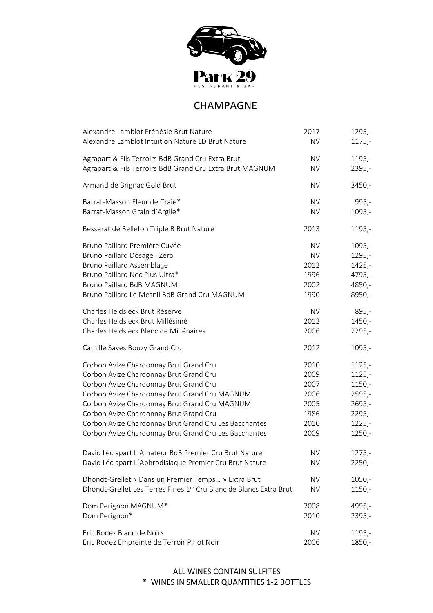

# CHAMPAGNE

| Alexandre Lamblot Frénésie Brut Nature                             | 2017      | $1295,-$ |
|--------------------------------------------------------------------|-----------|----------|
| Alexandre Lamblot Intuition Nature LD Brut Nature                  | <b>NV</b> | $1175,-$ |
| Agrapart & Fils Terroirs BdB Grand Cru Extra Brut                  | <b>NV</b> | $1195,-$ |
| Agrapart & Fils Terroirs BdB Grand Cru Extra Brut MAGNUM           | <b>NV</b> | $2395,-$ |
| Armand de Brignac Gold Brut                                        | <b>NV</b> | $3450,-$ |
| Barrat-Masson Fleur de Craie*                                      | <b>NV</b> | $995,-$  |
| Barrat-Masson Grain d'Argile*                                      | <b>NV</b> | $1095,-$ |
| Besserat de Bellefon Triple B Brut Nature                          | 2013      | $1195,-$ |
| Bruno Paillard Première Cuvée                                      | <b>NV</b> | $1095,-$ |
| Bruno Paillard Dosage: Zero                                        | <b>NV</b> | $1295,-$ |
| <b>Bruno Paillard Assemblage</b>                                   | 2012      | $1425,-$ |
| Bruno Paillard Nec Plus Ultra*                                     | 1996      | 4795,-   |
| Bruno Paillard BdB MAGNUM                                          | 2002      | 4850,-   |
| Bruno Paillard Le Mesnil BdB Grand Cru MAGNUM                      | 1990      | 8950,-   |
| Charles Heidsieck Brut Réserve                                     | <b>NV</b> | $895,-$  |
| Charles Heidsieck Brut Millésimé                                   | 2012      | $1450,-$ |
| Charles Heidsieck Blanc de Millénaires                             | 2006      | $2295,-$ |
| Camille Saves Bouzy Grand Cru                                      | 2012      | $1095,-$ |
| Corbon Avize Chardonnay Brut Grand Cru                             | 2010      | $1125,-$ |
| Corbon Avize Chardonnay Brut Grand Cru                             | 2009      | $1125,-$ |
| Corbon Avize Chardonnay Brut Grand Cru                             | 2007      | $1150,-$ |
| Corbon Avize Chardonnay Brut Grand Cru MAGNUM                      | 2006      | $2595,-$ |
| Corbon Avize Chardonnay Brut Grand Cru MAGNUM                      | 2005      | $2695,-$ |
| Corbon Avize Chardonnay Brut Grand Cru                             | 1986      | $2295,-$ |
| Corbon Avize Chardonnay Brut Grand Cru Les Bacchantes              | 2010      | $1225 -$ |
| Corbon Avize Chardonnay Brut Grand Cru Les Bacchantes              | 2009      | $1250,-$ |
| David Léclapart L'Amateur BdB Premier Cru Brut Nature              | <b>NV</b> | 1275,-   |
| David Léclapart L'Aphrodisiaque Premier Cru Brut Nature            | <b>NV</b> | $2250,-$ |
| Dhondt-Grellet « Dans un Premier Temps » Extra Brut                | <b>NV</b> | $1050,-$ |
| Dhondt-Grellet Les Terres Fines 1er Cru Blanc de Blancs Extra Brut | <b>NV</b> | $1150,-$ |
| Dom Perignon MAGNUM*                                               | 2008      | 4995,-   |
| Dom Perignon*                                                      | 2010      | 2395,-   |
| Eric Rodez Blanc de Noirs                                          | <b>NV</b> | $1195,-$ |
| Eric Rodez Empreinte de Terroir Pinot Noir                         | 2006      | 1850,-   |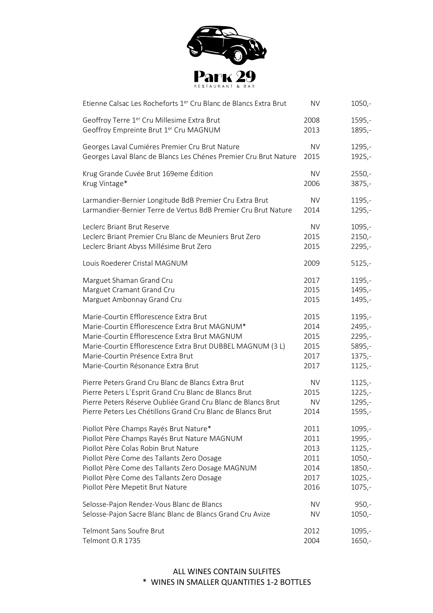

| Etienne Calsac Les Rocheforts 1er Cru Blanc de Blancs Extra Brut | <b>NV</b> | $1050,-$ |
|------------------------------------------------------------------|-----------|----------|
| Geoffroy Terre 1 <sup>er</sup> Cru Millesime Extra Brut          | 2008      | 1595,-   |
| Geoffroy Empreinte Brut 1er Cru MAGNUM                           | 2013      | 1895,-   |
| Georges Laval Cumiéres Premier Cru Brut Nature                   | <b>NV</b> | $1295,-$ |
| Georges Laval Blanc de Blancs Les Chénes Premier Cru Brut Nature | 2015      | $1925,-$ |
| Krug Grande Cuvée Brut 169eme Édition                            | <b>NV</b> | $2550,-$ |
| Krug Vintage*                                                    | 2006      | $3875,-$ |
| Larmandier-Bernier Longitude BdB Premier Cru Extra Brut          | <b>NV</b> | $1195,-$ |
| Larmandier-Bernier Terre de Vertus BdB Premier Cru Brut Nature   | 2014      | $1295,-$ |
| Leclerc Briant Brut Reserve                                      | <b>NV</b> | $1095,-$ |
| Leclerc Briant Premier Cru Blanc de Meuniers Brut Zero           | 2015      | $2150,-$ |
| Leclerc Briant Abyss Millésime Brut Zero                         | 2015      | $2295,-$ |
| Louis Roederer Cristal MAGNUM                                    | 2009      | $5125,-$ |
| Marguet Shaman Grand Cru                                         | 2017      | $1195,-$ |
| Marguet Cramant Grand Cru                                        | 2015      | 1495,-   |
| Marguet Ambonnay Grand Cru                                       | 2015      | 1495,-   |
| Marie-Courtin Efflorescence Extra Brut                           | 2015      | $1195,-$ |
| Marie-Courtin Efflorescence Extra Brut MAGNUM*                   | 2014      | 2495,-   |
| Marie-Courtin Efflorescence Extra Brut MAGNUM                    | 2015      | $2295,-$ |
| Marie-Courtin Efflorescence Extra Brut DUBBEL MAGNUM (3 L)       | 2015      | 5895,-   |
| Marie-Courtin Présence Extra Brut                                | 2017      | $1375,-$ |
| Marie-Courtin Résonance Extra Brut                               | 2017      | $1125,-$ |
| Pierre Peters Grand Cru Blanc de Blancs Extra Brut               | <b>NV</b> | $1125 -$ |
| Pierre Peters L'Esprit Grand Cru Blanc de Blancs Brut            | 2015      | $1225 -$ |
| Pierre Peters Réserve Oubliée Grand Cru Blanc de Blancs Brut     | <b>NV</b> | $1295,-$ |
| Pierre Peters Les Chétillons Grand Cru Blanc de Blancs Brut      | 2014      | 1595,-   |
| Piollot Père Champs Rayés Brut Nature*                           | 2011      | $1095,-$ |
| Piollot Père Champs Rayés Brut Nature MAGNUM                     | 2011      | 1995,-   |
| Piollot Père Colas Robin Brut Nature                             | 2013      | $1125,-$ |
| Piollot Père Come des Tallants Zero Dosage                       | 2011      | $1050,-$ |
| Piollot Père Come des Tallants Zero Dosage MAGNUM                | 2014      | $1850,-$ |
| Piollot Père Come des Tallants Zero Dosage                       | 2017      | $1025,-$ |
| Piollot Père Mepetit Brut Nature                                 | 2016      | $1075,-$ |
| Selosse-Pajon Rendez-Vous Blanc de Blancs                        | <b>NV</b> | $950 -$  |
| Selosse-Pajon Sacre Blanc Blanc de Blancs Grand Cru Avize        | NV        | $1050,-$ |
| Telmont Sans Soufre Brut                                         | 2012      | $1095,-$ |
| Telmont O.R 1735                                                 | 2004      | $1650,-$ |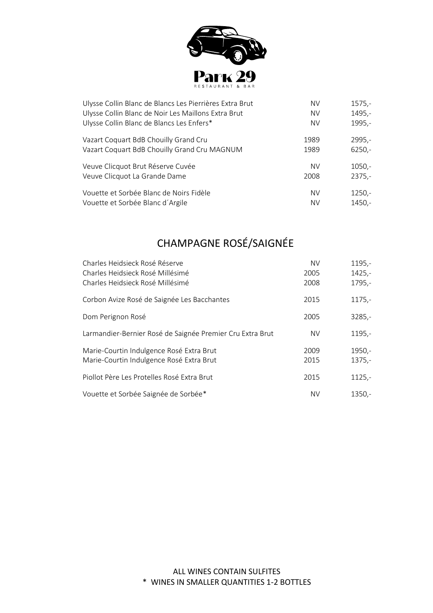

| Ulysse Collin Blanc de Blancs Les Pierrières Extra Brut | <b>NV</b> | $1575,-$ |
|---------------------------------------------------------|-----------|----------|
| Ulysse Collin Blanc de Noir Les Maillons Extra Brut     | <b>NV</b> | $1495,-$ |
| Ulysse Collin Blanc de Blancs Les Enfers*               | <b>NV</b> | 1995,-   |
| Vazart Coquart BdB Chouilly Grand Cru                   | 1989      | 2995,-   |
| Vazart Coquart BdB Chouilly Grand Cru MAGNUM            | 1989      | $6250,-$ |
| Veuve Clicquot Brut Réserve Cuvée                       | <b>NV</b> | $1050,-$ |
| Veuve Clicquot La Grande Dame                           | 2008      | $2375,-$ |
| Vouette et Sorbée Blanc de Noirs Fidèle                 | <b>NV</b> | $1250,-$ |
| Vouette et Sorbée Blanc d'Argile                        | <b>NV</b> | 1450,-   |

# CHAMPAGNE ROSÉ/SAIGNÉE

| Charles Heidsieck Rosé Réserve<br>Charles Heidsieck Rosé Millésimé<br>Charles Heidsieck Rosé Millésimé | <b>NV</b><br>2005<br>2008 | 1195,-<br>$1425,-$<br>$1795,-$ |
|--------------------------------------------------------------------------------------------------------|---------------------------|--------------------------------|
| Corbon Avize Rosé de Saignée Les Bacchantes                                                            | 2015                      | $1175,-$                       |
| Dom Perignon Rosé                                                                                      | 2005                      | $3285,-$                       |
| Larmandier-Bernier Rosé de Saignée Premier Cru Extra Brut                                              | <b>NV</b>                 | $1195,-$                       |
| Marie-Courtin Indulgence Rosé Extra Brut<br>Marie-Courtin Indulgence Rosé Extra Brut                   | 2009<br>2015              | $1950,-$<br>$1375,-$           |
| Piollot Père Les Protelles Rosé Extra Brut                                                             | 2015                      | $1125,-$                       |
| Vouette et Sorbée Saignée de Sorbée*                                                                   | <b>NV</b>                 | $1350 -$                       |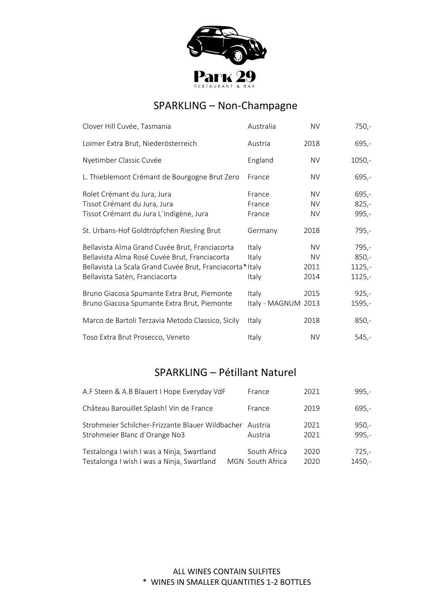

# SPARKLING – Non-Champagne

| Clover Hill Cuvée, Tasmania                                                                                                                                                                   | Australia                    | <b>NV</b>                              | $750,-$                                    |
|-----------------------------------------------------------------------------------------------------------------------------------------------------------------------------------------------|------------------------------|----------------------------------------|--------------------------------------------|
| Loimer Extra Brut, Niederösterreich                                                                                                                                                           | Austria                      | 2018                                   | $695,-$                                    |
| Nyetimber Classic Cuvée                                                                                                                                                                       | England                      | <b>NV</b>                              | $1050,-$                                   |
| L. Thieblemont Crémant de Bourgogne Brut Zero                                                                                                                                                 | France                       | NV.                                    | 695,-                                      |
| Rolet Crémant du Jura, Jura<br>Tissot Crémant du Jura, Jura<br>Tissot Crémant du Jura L'Indigène, Jura                                                                                        | France<br>France<br>France   | <b>NV</b><br><b>NV</b><br><b>NV</b>    | $695,-$<br>$825,-$<br>995,-                |
| St. Urbans-Hof Goldtröpfchen Riesling Brut                                                                                                                                                    | Germany                      | 2018                                   | 795,-                                      |
| Bellavista Alma Grand Cuvée Brut, Franciacorta<br>Bellavista Alma Rosé Cuvée Brut, Franciacorta<br>Bellavista La Scala Grand Cuvée Brut, Franciacorta*Italy<br>Bellavista Satèn, Franciacorta | Italy<br>Italy<br>Italy      | <b>NV</b><br><b>NV</b><br>2011<br>2014 | $795,-$<br>$850,-$<br>$1125,-$<br>$1125,-$ |
| Bruno Giacosa Spumante Extra Brut, Piemonte<br>Bruno Giacosa Spumante Extra Brut, Piemonte                                                                                                    | Italy<br>Italy - MAGNUM 2013 | 2015                                   | $925,-$<br>$1595,-$                        |
| Marco de Bartoli Terzavia Metodo Classico, Sicily                                                                                                                                             | Italy                        | 2018                                   | $850,-$                                    |
| Toso Extra Brut Prosecco, Veneto                                                                                                                                                              | Italy                        | <b>NV</b>                              | $545,-$                                    |

# SPARKLING – Pétillant Naturel

| A.F Steen & A.B Blauert I Hope Everyday VdF      | France           | 2021 | $995,-$ |
|--------------------------------------------------|------------------|------|---------|
| Château Barouillet Splash! Vin de France         | France           | 2019 | $695,-$ |
| Strohmeier Schilcher-Frizzante Blauer Wildbacher | Austria          | 2021 | $950 -$ |
| Strohmeier Blanc d'Orange No3                    | Austria          | 2021 | $995,-$ |
| Testalonga I wish I was a Ninja, Swartland       | South Africa     | 2020 | 725,-   |
| Testalonga I wish I was a Ninja, Swartland       | MGN South Africa | 2020 | 1450.-  |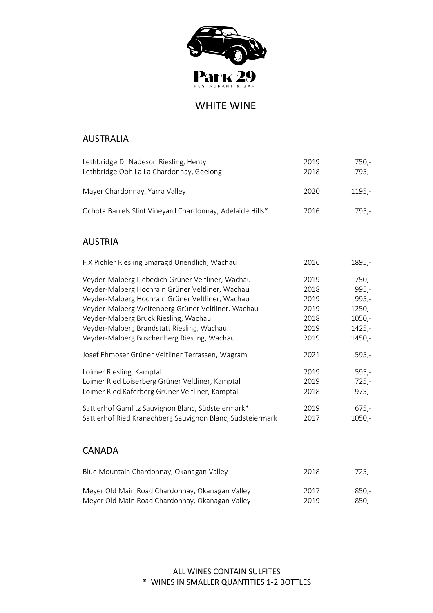

WHITE WINE

# AUSTRALIA

| Lethbridge Dr Nadeson Riesling, Henty                     | 2019 | 750.-  |
|-----------------------------------------------------------|------|--------|
| Lethbridge Ooh La La Chardonnay, Geelong                  | 2018 | 795.-  |
| Mayer Chardonnay, Yarra Valley                            | 2020 | 1195.- |
| Ochota Barrels Slint Vineyard Chardonnay, Adelaide Hills* | 2016 | 795.-  |

# AUSTRIA

| F.X Pichler Riesling Smaragd Unendlich, Wachau             | 2016 | 1895,-   |
|------------------------------------------------------------|------|----------|
| Veyder-Malberg Liebedich Grüner Veltliner, Wachau          | 2019 | $750,-$  |
| Veyder-Malberg Hochrain Grüner Veltliner, Wachau           | 2018 | $995,-$  |
| Veyder-Malberg Hochrain Grüner Veltliner, Wachau           | 2019 | $995,-$  |
| Veyder-Malberg Weitenberg Grüner Veltliner. Wachau         | 2019 | $1250,-$ |
| Veyder-Malberg Bruck Riesling, Wachau                      | 2018 | $1050,-$ |
| Veyder-Malberg Brandstatt Riesling, Wachau                 | 2019 | $1425,-$ |
| Veyder-Malberg Buschenberg Riesling, Wachau                | 2019 | 1450,-   |
| Josef Ehmoser Grüner Veltliner Terrassen, Wagram           | 2021 | $595,-$  |
| Loimer Riesling, Kamptal                                   | 2019 | $595,-$  |
| Loimer Ried Loiserberg Grüner Veltliner, Kamptal           | 2019 | $725,-$  |
| Loimer Ried Käferberg Grüner Veltliner, Kamptal            | 2018 | $975,-$  |
| Sattlerhof Gamlitz Sauvignon Blanc, Südsteiermark*         | 2019 | $675,-$  |
| Sattlerhof Ried Kranachberg Sauvignon Blanc, Südsteiermark | 2017 | $1050,-$ |
|                                                            |      |          |

### CANADA

| Blue Mountain Chardonnay, Okanagan Valley       | 2018 | 725.-   |
|-------------------------------------------------|------|---------|
| Meyer Old Main Road Chardonnay, Okanagan Valley | 2017 | 850.-   |
| Meyer Old Main Road Chardonnay, Okanagan Valley | 2019 | $850 -$ |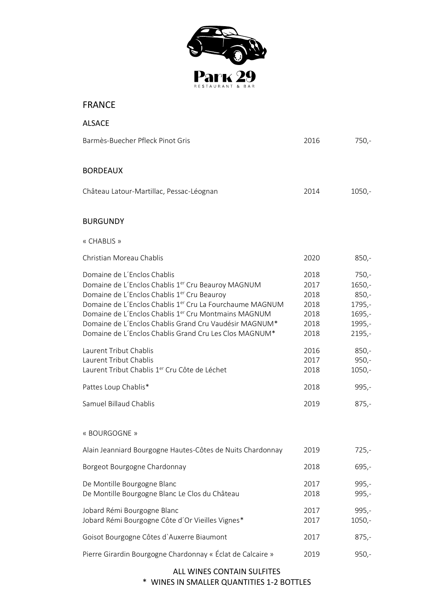

# FRANCE

| <b>ALSACE</b>                                                                                                                                                                                                                                                                                                                                                                                                |                                                      |                                                                            |
|--------------------------------------------------------------------------------------------------------------------------------------------------------------------------------------------------------------------------------------------------------------------------------------------------------------------------------------------------------------------------------------------------------------|------------------------------------------------------|----------------------------------------------------------------------------|
| Barmès-Buecher Pfleck Pinot Gris                                                                                                                                                                                                                                                                                                                                                                             | 2016                                                 | $750,-$                                                                    |
| <b>BORDEAUX</b>                                                                                                                                                                                                                                                                                                                                                                                              |                                                      |                                                                            |
| Château Latour-Martillac, Pessac-Léognan                                                                                                                                                                                                                                                                                                                                                                     | 2014                                                 | $1050,-$                                                                   |
| <b>BURGUNDY</b>                                                                                                                                                                                                                                                                                                                                                                                              |                                                      |                                                                            |
| « CHABLIS »                                                                                                                                                                                                                                                                                                                                                                                                  |                                                      |                                                                            |
| Christian Moreau Chablis                                                                                                                                                                                                                                                                                                                                                                                     | 2020                                                 | $850,-$                                                                    |
| Domaine de L'Enclos Chablis<br>Domaine de L'Enclos Chablis 1er Cru Beauroy MAGNUM<br>Domaine de L'Enclos Chablis 1 <sup>er</sup> Cru Beauroy<br>Domaine de L'Enclos Chablis 1 <sup>er</sup> Cru La Fourchaume MAGNUM<br>Domaine de L'Enclos Chablis 1 <sup>er</sup> Cru Montmains MAGNUM<br>Domaine de L'Enclos Chablis Grand Cru Vaudésir MAGNUM*<br>Domaine de L'Enclos Chablis Grand Cru Les Clos MAGNUM* | 2018<br>2017<br>2018<br>2018<br>2018<br>2018<br>2018 | $750,-$<br>$1650,-$<br>$850,-$<br>1795,-<br>$1695,-$<br>1995,-<br>$2195,-$ |
| Laurent Tribut Chablis<br>Laurent Tribut Chablis<br>Laurent Tribut Chablis 1 <sup>er</sup> Cru Côte de Léchet                                                                                                                                                                                                                                                                                                | 2016<br>2017<br>2018                                 | $850,-$<br>$950,-$<br>$1050,-$                                             |
| Pattes Loup Chablis*                                                                                                                                                                                                                                                                                                                                                                                         | 2018                                                 | $995,-$                                                                    |
| Samuel Billaud Chablis                                                                                                                                                                                                                                                                                                                                                                                       | 2019                                                 | $875,-$                                                                    |
| « BOURGOGNE »                                                                                                                                                                                                                                                                                                                                                                                                |                                                      |                                                                            |
| Alain Jeanniard Bourgogne Hautes-Côtes de Nuits Chardonnay                                                                                                                                                                                                                                                                                                                                                   | 2019                                                 | $725,-$                                                                    |
| Borgeot Bourgogne Chardonnay                                                                                                                                                                                                                                                                                                                                                                                 | 2018                                                 | $695,-$                                                                    |
| De Montille Bourgogne Blanc<br>De Montille Bourgogne Blanc Le Clos du Château                                                                                                                                                                                                                                                                                                                                | 2017<br>2018                                         | $995,-$<br>$995,-$                                                         |
| Jobard Rémi Bourgogne Blanc<br>Jobard Rémi Bourgogne Côte d'Or Vieilles Vignes*                                                                                                                                                                                                                                                                                                                              | 2017<br>2017                                         | $995,-$<br>$1050,-$                                                        |
| Goisot Bourgogne Côtes d'Auxerre Biaumont                                                                                                                                                                                                                                                                                                                                                                    | 2017                                                 | $875,-$                                                                    |
| Pierre Girardin Bourgogne Chardonnay « Éclat de Calcaire »                                                                                                                                                                                                                                                                                                                                                   | 2019                                                 | $950,-$                                                                    |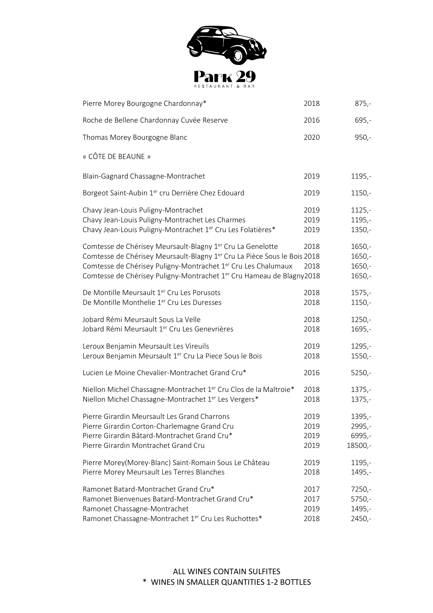

| Pierre Morey Bourgogne Chardonnay*                                                                                                                                                                                                                                                                                              | 2018                         | $875,-$                                      |
|---------------------------------------------------------------------------------------------------------------------------------------------------------------------------------------------------------------------------------------------------------------------------------------------------------------------------------|------------------------------|----------------------------------------------|
| Roche de Bellene Chardonnay Cuvée Reserve                                                                                                                                                                                                                                                                                       | 2016                         | $695,-$                                      |
| Thomas Morey Bourgogne Blanc                                                                                                                                                                                                                                                                                                    | 2020                         | $950,-$                                      |
| « CÔTE DE BEAUNE »                                                                                                                                                                                                                                                                                                              |                              |                                              |
| Blain-Gagnard Chassagne-Montrachet                                                                                                                                                                                                                                                                                              | 2019                         | $1195,-$                                     |
| Borgeot Saint-Aubin 1er cru Derrière Chez Edouard                                                                                                                                                                                                                                                                               | 2019                         | $1150,-$                                     |
| Chavy Jean-Louis Puligny-Montrachet<br>Chavy Jean-Louis Puligny-Montrachet Les Charmes                                                                                                                                                                                                                                          | 2019<br>2019                 | $1125,-$<br>$1195,-$                         |
| Chavy Jean-Louis Puligny-Montrachet 1 <sup>er</sup> Cru Les Folatières*                                                                                                                                                                                                                                                         | 2019                         | $1350 -$                                     |
| Comtesse de Chérisey Meursault-Blagny 1 <sup>er</sup> Cru La Genelotte<br>Comtesse de Chérisey Meursault-Blagny 1 <sup>er</sup> Cru La Pièce Sous le Bois 2018<br>Comtesse de Chérisey Puligny-Montrachet 1 <sup>er</sup> Cru Les Chalumaux<br>Comtesse de Chérisey Puligny-Montrachet 1 <sup>er</sup> Cru Hameau de Blagny2018 | 2018<br>2018                 | $1650,-$<br>$1650,-$<br>$1650,-$<br>$1650,-$ |
| De Montille Meursault 1 <sup>er</sup> Cru Les Porusots<br>De Montille Monthelie 1er Cru Les Duresses                                                                                                                                                                                                                            | 2018<br>2018                 | $1575,-$<br>$1150,-$                         |
| Jobard Rémi Meursault Sous La Velle<br>Jobard Rémi Meursault 1 <sup>er</sup> Cru Les Genevrières                                                                                                                                                                                                                                | 2018<br>2018                 | $1250,-$<br>1695,-                           |
| Leroux Benjamin Meursault Les Vireuils<br>Leroux Benjamin Meursault 1er Cru La Piece Sous le Bois                                                                                                                                                                                                                               | 2019<br>2018                 | $1295,-$<br>$1550,-$                         |
| Lucien Le Moine Chevalier-Montrachet Grand Cru*                                                                                                                                                                                                                                                                                 | 2016                         | $5250,-$                                     |
| Niellon Michel Chassagne-Montrachet 1 <sup>er</sup> Cru Clos de la Maltroie*<br>Niellon Michel Chassagne-Montrachet 1er Les Vergers*                                                                                                                                                                                            | 2018<br>2018                 | $1375,-$<br>$1375,-$                         |
| Pierre Girardin Meursault Les Grand Charrons<br>Pierre Girardin Corton-Charlemagne Grand Cru<br>Pierre Girardin Bâtard-Montrachet Grand Cru*<br>Pierre Girardin Montrachet Grand Cru                                                                                                                                            | 2019<br>2019<br>2019<br>2019 | 1395,-<br>2995,-<br>6995,-<br>18500,-        |
| Pierre Morey(Morey-Blanc) Saint-Romain Sous Le Château<br>Pierre Morey Meursault Les Terres Blanches                                                                                                                                                                                                                            | 2019<br>2018                 | 1195,-<br>1495,-                             |
| Ramonet Batard-Montrachet Grand Cru*<br>Ramonet Bienvenues Batard-Montrachet Grand Cru*<br>Ramonet Chassagne-Montrachet<br>Ramonet Chassagne-Montrachet 1er Cru Les Ruchottes*                                                                                                                                                  | 2017<br>2017<br>2019<br>2018 | $7250,-$<br>$5750,-$<br>1495,-<br>$2450,-$   |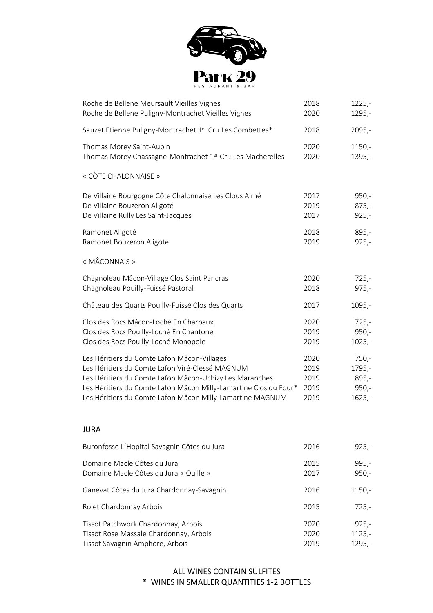

| Roche de Bellene Meursault Vieilles Vignes                            | 2018 | $1225 -$ |
|-----------------------------------------------------------------------|------|----------|
| Roche de Bellene Puligny-Montrachet Vieilles Vignes                   | 2020 | $1295,-$ |
| Sauzet Etienne Puligny-Montrachet 1 <sup>er</sup> Cru Les Combettes*  | 2018 | $2095,-$ |
| Thomas Morey Saint-Aubin                                              | 2020 | $1150,-$ |
| Thomas Morey Chassagne-Montrachet 1 <sup>er</sup> Cru Les Macherelles | 2020 | $1395,-$ |
| « CÔTE CHALONNAISE »                                                  |      |          |
| De Villaine Bourgogne Côte Chalonnaise Les Clous Aimé                 | 2017 | $950,-$  |
| De Villaine Bouzeron Aligoté                                          | 2019 | $875,-$  |
| De Villaine Rully Les Saint-Jacques                                   | 2017 | $925,-$  |
| Ramonet Aligoté                                                       | 2018 | $895,-$  |
| Ramonet Bouzeron Aligoté                                              | 2019 | $925,-$  |
| « MÂCONNAIS »                                                         |      |          |
| Chagnoleau Mâcon-Village Clos Saint Pancras                           | 2020 | $725,-$  |
| Chagnoleau Pouilly-Fuissé Pastoral                                    | 2018 | $975,-$  |
| Château des Quarts Pouilly-Fuissé Clos des Quarts                     | 2017 | $1095,-$ |
| Clos des Rocs Mâcon-Loché En Charpaux                                 | 2020 | $725,-$  |
| Clos des Rocs Pouilly-Loché En Chantone                               | 2019 | $950,-$  |
| Clos des Rocs Pouilly-Loché Monopole                                  | 2019 | $1025,-$ |
| Les Héritiers du Comte Lafon Mâcon-Villages                           | 2020 | $750,-$  |
| Les Héritiers du Comte Lafon Viré-Clessé MAGNUM                       | 2019 | 1795,-   |
| Les Héritiers du Comte Lafon Mâcon-Uchizy Les Maranches               | 2019 | $895,-$  |
| Les Héritiers du Comte Lafon Mâcon Milly-Lamartine Clos du Four*      | 2019 | $950,-$  |
| Les Héritiers du Comte Lafon Mâcon Milly-Lamartine MAGNUM             | 2019 | $1625,-$ |

# JURA

| Buronfosse L'Hopital Savagnin Côtes du Jura                                   | 2016         | $925,-$             |
|-------------------------------------------------------------------------------|--------------|---------------------|
| Domaine Macle Côtes du Jura<br>Domaine Macle Côtes du Jura « Ouille »         | 2015<br>2017 | $995,-$<br>$950 -$  |
| Ganevat Côtes du Jura Chardonnay-Savagnin                                     | 2016         | $1150,-$            |
| Rolet Chardonnay Arbois                                                       | 2015         | $725,-$             |
| Tissot Patchwork Chardonnay, Arbois<br>Tissot Rose Massale Chardonnay, Arbois | 2020<br>2020 | $925,-$<br>$1125,-$ |
|                                                                               |              |                     |
| Tissot Savagnin Amphore, Arbois                                               | 2019         | $1295,-$            |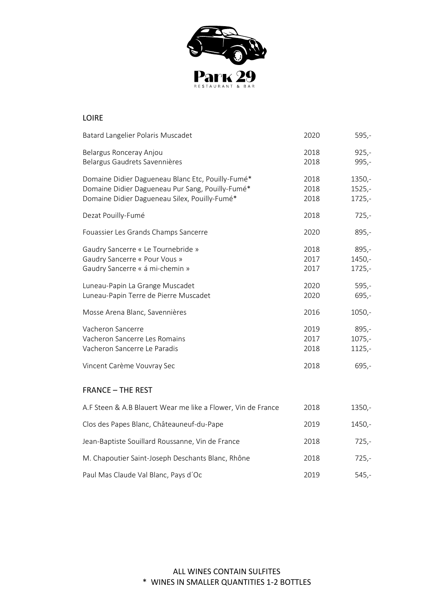

| <b>LOIRE</b>                                                                                                                                           |                              |                                            |
|--------------------------------------------------------------------------------------------------------------------------------------------------------|------------------------------|--------------------------------------------|
| Batard Langelier Polaris Muscadet                                                                                                                      | 2020                         | $595,-$                                    |
| Belargus Ronceray Anjou<br>Belargus Gaudrets Savennières                                                                                               | 2018<br>2018                 | $925,-$<br>$995,-$                         |
| Domaine Didier Dagueneau Blanc Etc, Pouilly-Fumé*<br>Domaine Didier Dagueneau Pur Sang, Pouilly-Fumé*<br>Domaine Didier Dagueneau Silex, Pouilly-Fumé* | 2018<br>2018<br>2018         | $1350 -$<br>$1525,-$<br>$1725,-$           |
| Dezat Pouilly-Fumé                                                                                                                                     | 2018                         | $725,-$                                    |
| Fouassier Les Grands Champs Sancerre                                                                                                                   | 2020                         | $895,-$                                    |
| Gaudry Sancerre « Le Tournebride »<br>Gaudry Sancerre « Pour Vous »<br>Gaudry Sancerre « á mi-chemin »                                                 | 2018<br>2017<br>2017         | $895,-$<br>$1450,-$<br>$1725,-$            |
| Luneau-Papin La Grange Muscadet<br>Luneau-Papin Terre de Pierre Muscadet                                                                               | 2020<br>2020                 | $595,-$<br>$695,-$                         |
| Mosse Arena Blanc, Savennières                                                                                                                         | 2016                         | $1050,-$                                   |
| Vacheron Sancerre<br>Vacheron Sancerre Les Romains<br>Vacheron Sancerre Le Paradis<br>Vincent Carème Vouvray Sec                                       | 2019<br>2017<br>2018<br>2018 | $895,-$<br>$1075,-$<br>$1125,-$<br>$695,-$ |
| <b>FRANCE - THE REST</b>                                                                                                                               |                              |                                            |
| A.F Steen & A.B Blauert Wear me like a Flower, Vin de France                                                                                           | 2018                         | $1350 -$                                   |
| Clos des Papes Blanc, Châteauneuf-du-Pape                                                                                                              | 2019                         | $1450,-$                                   |
| Jean-Baptiste Souillard Roussanne, Vin de France                                                                                                       | 2018                         | $725,-$                                    |
| M. Chapoutier Saint-Joseph Deschants Blanc, Rhône                                                                                                      | 2018                         | $725,-$                                    |

Paul Mas Claude Val Blanc, Pays d'Oc 2019 545,-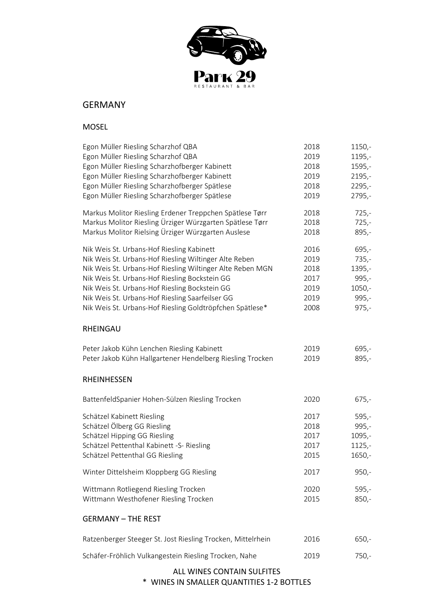

# GERMANY

## MOSEL

| Egon Müller Riesling Scharzhof QBA                                            | 2018 | $1150,-$           |
|-------------------------------------------------------------------------------|------|--------------------|
| Egon Müller Riesling Scharzhof QBA                                            | 2019 | 1195,-             |
| Egon Müller Riesling Scharzhofberger Kabinett                                 | 2018 | 1595,-             |
| Egon Müller Riesling Scharzhofberger Kabinett                                 | 2019 | $2195,-$           |
| Egon Müller Riesling Scharzhofberger Spätlese                                 | 2018 | $2295,-$           |
| Egon Müller Riesling Scharzhofberger Spätlese                                 | 2019 | 2795,-             |
| Markus Molitor Riesling Erdener Treppchen Spätlese Tørr                       | 2018 | $725,-$            |
| Markus Molitor Riesling Ürziger Würzgarten Spätlese Tørr                      | 2018 | $725,-$            |
| Markus Molitor Rielsing Ürziger Würzgarten Auslese                            | 2018 | $895,-$            |
| Nik Weis St. Urbans-Hof Riesling Kabinett                                     | 2016 | $695,-$            |
| Nik Weis St. Urbans-Hof Riesling Wiltinger Alte Reben                         | 2019 | $735,-$            |
| Nik Weis St. Urbans-Hof Riesling Wiltinger Alte Reben MGN                     | 2018 | 1395,-             |
| Nik Weis St. Urbans-Hof Riesling Bockstein GG                                 | 2017 | $995,-$            |
| Nik Weis St. Urbans-Hof Riesling Bockstein GG                                 | 2019 | $1050,-$           |
| Nik Weis St. Urbans-Hof Riesling Saarfeilser GG                               | 2019 | $995,-$            |
| Nik Weis St. Urbans-Hof Riesling Goldtröpfchen Spätlese*                      | 2008 | $975,-$            |
| RHEINGAU                                                                      |      |                    |
| Peter Jakob Kühn Lenchen Riesling Kabinett                                    | 2019 | $695,-$            |
| Peter Jakob Kühn Hallgartener Hendelberg Riesling Trocken                     | 2019 | $895,-$            |
|                                                                               |      |                    |
| <b>RHEINHESSEN</b>                                                            |      |                    |
| BattenfeldSpanier Hohen-Sülzen Riesling Trocken                               | 2020 | $675,-$            |
| Schätzel Kabinett Riesling                                                    | 2017 | $595,-$            |
| Schätzel Ölberg GG Riesling                                                   | 2018 | $995,-$            |
| Schätzel Hipping GG Riesling                                                  | 2017 | 1095,-             |
| Schätzel Pettenthal Kabinett -S- Riesling                                     | 2017 | $1125,-$           |
| Schätzel Pettenthal GG Riesling                                               | 2015 | 1650,-             |
| Winter Dittelsheim Kloppberg GG Riesling                                      | 2017 | $950,-$            |
|                                                                               | 2020 |                    |
| Wittmann Rotliegend Riesling Trocken<br>Wittmann Westhofener Riesling Trocken | 2015 | $595,-$<br>$850,-$ |
| <b>GERMANY - THE REST</b>                                                     |      |                    |
| Ratzenberger Steeger St. Jost Riesling Trocken, Mittelrhein                   | 2016 | $650,-$            |

# ALL WINES CONTAIN SULFITES

\* WINES IN SMALLER QUANTITIES 1-2 BOTTLES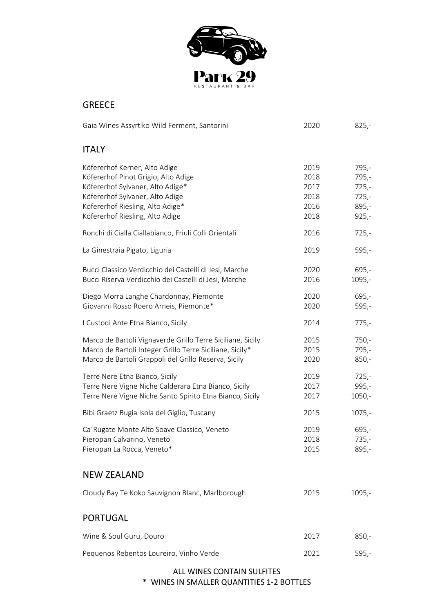

# GREECE

| Gaia Wines Assyrtiko Wild Ferment, Santorini                                                                                                                                                                                                                                                                                                                                                                                                                               | 2020                                                                                 | $825,-$                                                                                                              |
|----------------------------------------------------------------------------------------------------------------------------------------------------------------------------------------------------------------------------------------------------------------------------------------------------------------------------------------------------------------------------------------------------------------------------------------------------------------------------|--------------------------------------------------------------------------------------|----------------------------------------------------------------------------------------------------------------------|
| <b>ITALY</b>                                                                                                                                                                                                                                                                                                                                                                                                                                                               |                                                                                      |                                                                                                                      |
| Köfererhof Kerner, Alto Adige<br>Köfererhof Pinot Grigio, Alto Adige<br>Köfererhof Sylvaner, Alto Adige*<br>Köfererhof Sylvaner, Alto Adige<br>Köfererhof Riesling, Alto Adige*<br>Köfererhof Riesling, Alto Adige<br>Ronchi di Cialla Ciallabianco, Friuli Colli Orientali<br>La Ginestraia Pigato, Liguria<br>Bucci Classico Verdicchio dei Castelli di Jesi, Marche<br>Bucci Riserva Verdicchio dei Castelli di Jesi, Marche<br>Diego Morra Langhe Chardonnay, Piemonte | 2019<br>2018<br>2017<br>2018<br>2016<br>2018<br>2016<br>2019<br>2020<br>2016<br>2020 | $795,-$<br>795,-<br>$725,-$<br>$725,-$<br>$895,-$<br>$925,-$<br>$725,-$<br>$595,-$<br>$695,-$<br>$1095,-$<br>$695,-$ |
| Giovanni Rosso Roero Arneis, Piemonte*                                                                                                                                                                                                                                                                                                                                                                                                                                     | 2020                                                                                 | $595,-$                                                                                                              |
| I Custodi Ante Etna Bianco, Sicily                                                                                                                                                                                                                                                                                                                                                                                                                                         | 2014                                                                                 | $775,-$                                                                                                              |
| Marco de Bartoli Vignaverde Grillo Terre Siciliane, Sicily<br>Marco de Bartoli Integer Grillo Terre Siciliane, Sicily*<br>Marco de Bartoli Grappoli del Grillo Reserva, Sicily                                                                                                                                                                                                                                                                                             | 2015<br>2015<br>2020                                                                 | $750,-$<br>$795,-$<br>$850,-$                                                                                        |
| Terre Nere Etna Bianco, Sicily<br>Terre Nere Vigne Niche Calderara Etna Bianco, Sicily<br>Terre Nere Vigne Niche Santo Spirito Etna Bianco, Sicily                                                                                                                                                                                                                                                                                                                         | 2019<br>2017<br>2017                                                                 | $725,-$<br>$995,-$<br>$1050,-$                                                                                       |
| Bibi Graetz Bugia Isola del Giglio, Tuscany                                                                                                                                                                                                                                                                                                                                                                                                                                | 2015                                                                                 | $1075,-$                                                                                                             |
| Ca'Rugate Monte Alto Soave Classico, Veneto<br>Pieropan Calvarino, Veneto<br>Pieropan La Rocca, Veneto*                                                                                                                                                                                                                                                                                                                                                                    | 2019<br>2018<br>2015                                                                 | $695,-$<br>$735,-$<br>$895,-$                                                                                        |
| <b>NEW ZEALAND</b>                                                                                                                                                                                                                                                                                                                                                                                                                                                         |                                                                                      |                                                                                                                      |
| Cloudy Bay Te Koko Sauvignon Blanc, Marlborough                                                                                                                                                                                                                                                                                                                                                                                                                            | 2015                                                                                 | $1095,-$                                                                                                             |
| <b>PORTUGAL</b>                                                                                                                                                                                                                                                                                                                                                                                                                                                            |                                                                                      |                                                                                                                      |
| Wine & Soul Guru, Douro                                                                                                                                                                                                                                                                                                                                                                                                                                                    | 2017                                                                                 | $850,-$                                                                                                              |
| Pequenos Rebentos Loureiro, Vinho Verde                                                                                                                                                                                                                                                                                                                                                                                                                                    | 2021                                                                                 | $595,-$                                                                                                              |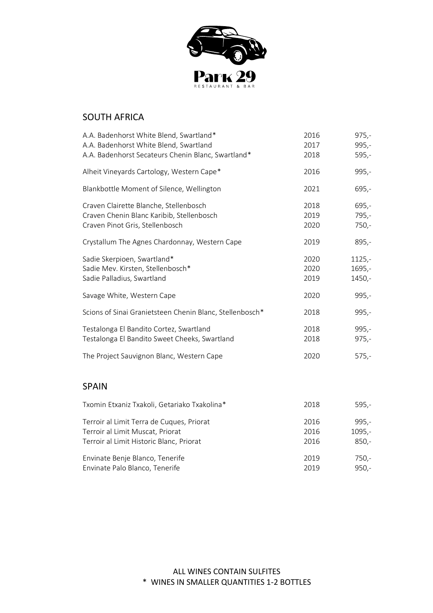

# SOUTH AFRICA

| A.A. Badenhorst White Blend, Swartland*<br>A.A. Badenhorst White Blend, Swartland<br>A.A. Badenhorst Secateurs Chenin Blanc, Swartland* | 2016<br>2017<br>2018 | $975,-$<br>$995,-$<br>$595,-$    |
|-----------------------------------------------------------------------------------------------------------------------------------------|----------------------|----------------------------------|
| Alheit Vineyards Cartology, Western Cape*                                                                                               | 2016                 | $995,-$                          |
| Blankbottle Moment of Silence, Wellington                                                                                               | 2021                 | $695 -$                          |
| Craven Clairette Blanche, Stellenbosch<br>Craven Chenin Blanc Karibib, Stellenbosch<br>Craven Pinot Gris, Stellenbosch                  | 2018<br>2019<br>2020 | $695 -$<br>$795,-$<br>$750,-$    |
| Crystallum The Agnes Chardonnay, Western Cape                                                                                           | 2019                 | $895,-$                          |
| Sadie Skerpioen, Swartland*<br>Sadie Mev. Kirsten, Stellenbosch*<br>Sadie Palladius, Swartland                                          | 2020<br>2020<br>2019 | $1125 -$<br>$1695,-$<br>$1450 -$ |
| Savage White, Western Cape                                                                                                              | 2020                 | $995,-$                          |
| Scions of Sinai Granietsteen Chenin Blanc, Stellenbosch*                                                                                | 2018                 | $995,-$                          |
| Testalonga El Bandito Cortez, Swartland<br>Testalonga El Bandito Sweet Cheeks, Swartland                                                | 2018<br>2018         | $995,-$<br>$975,-$               |
| The Project Sauvignon Blanc, Western Cape                                                                                               | 2020                 | $575,-$                          |
| <b>SPAIN</b>                                                                                                                            |                      |                                  |

| Txomin Etxaniz Txakoli, Getariako Txakolina* | 2018 | $595 -$ |
|----------------------------------------------|------|---------|
| Terroir al Limit Terra de Cuques, Priorat    | 2016 | $995 -$ |
| Terroir al Limit Muscat, Priorat             | 2016 | 1095.-  |
| Terroir al Limit Historic Blanc, Priorat     | 2016 | $850,-$ |
| Envinate Benje Blanco, Tenerife              | 2019 | 750,-   |
| Envinate Palo Blanco, Tenerife               | 2019 | $950 -$ |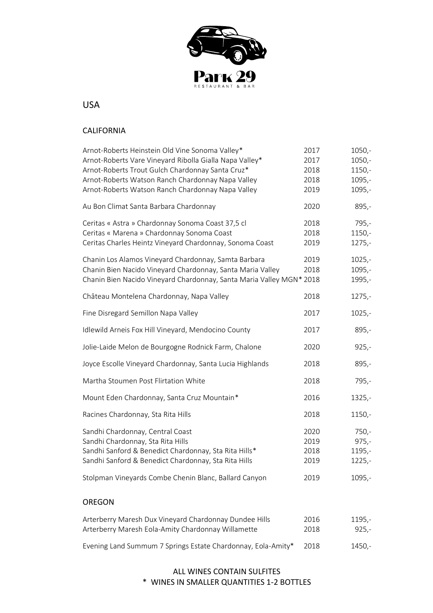

USA

#### CALIFORNIA

| Arnot-Roberts Heinstein Old Vine Sonoma Valley*                      | 2017 | $1050,-$ |
|----------------------------------------------------------------------|------|----------|
| Arnot-Roberts Vare Vineyard Ribolla Gialla Napa Valley*              | 2017 | $1050,-$ |
| Arnot-Roberts Trout Gulch Chardonnay Santa Cruz*                     | 2018 | $1150,-$ |
| Arnot-Roberts Watson Ranch Chardonnay Napa Valley                    | 2018 | $1095,-$ |
| Arnot-Roberts Watson Ranch Chardonnay Napa Valley                    | 2019 | 1095,-   |
| Au Bon Climat Santa Barbara Chardonnay                               | 2020 | $895,-$  |
| Ceritas « Astra » Chardonnay Sonoma Coast 37,5 cl                    | 2018 | $795,-$  |
| Ceritas « Marena » Chardonnay Sonoma Coast                           | 2018 | 1150,-   |
| Ceritas Charles Heintz Vineyard Chardonnay, Sonoma Coast             | 2019 | $1275,-$ |
| Chanin Los Alamos Vineyard Chardonnay, Samta Barbara                 | 2019 | $1025,-$ |
| Chanin Bien Nacido Vineyard Chardonnay, Santa Maria Valley           | 2018 | $1095,-$ |
| Chanin Bien Nacido Vineyard Chardonnay, Santa Maria Valley MGN* 2018 |      | 1995,-   |
| Château Montelena Chardonnay, Napa Valley                            | 2018 | $1275,-$ |
| Fine Disregard Semillon Napa Valley                                  | 2017 | $1025,-$ |
| Idlewild Arneis Fox Hill Vineyard, Mendocino County                  | 2017 | $895,-$  |
| Jolie-Laide Melon de Bourgogne Rodnick Farm, Chalone                 | 2020 | $925,-$  |
| Joyce Escolle Vineyard Chardonnay, Santa Lucia Highlands             | 2018 | $895,-$  |
| Martha Stoumen Post Flirtation White                                 | 2018 | $795,-$  |
| Mount Eden Chardonnay, Santa Cruz Mountain*                          | 2016 | $1325,-$ |
| Racines Chardonnay, Sta Rita Hills                                   | 2018 | 1150,-   |
| Sandhi Chardonnay, Central Coast                                     | 2020 | $750,-$  |
| Sandhi Chardonnay, Sta Rita Hills                                    | 2019 | $975,-$  |
| Sandhi Sanford & Benedict Chardonnay, Sta Rita Hills*                | 2018 | 1195,-   |
| Sandhi Sanford & Benedict Chardonnay, Sta Rita Hills                 | 2019 | $1225,-$ |
| Stolpman Vineyards Combe Chenin Blanc, Ballard Canyon                | 2019 | $1095,-$ |
| <b>OREGON</b>                                                        |      |          |
|                                                                      |      |          |
| Arterberry Maresh Dux Vineyard Chardonnay Dundee Hills               | 2016 | 1195,-   |
| Arterberry Maresh Eola-Amity Chardonnay Willamette                   | 2018 | $925,-$  |

### ALL WINES CONTAIN SULFITES \* WINES IN SMALLER QUANTITIES 1-2 BOTTLES

Evening Land Summum 7 Springs Estate Chardonnay, Eola-Amity\* 2018 1450,-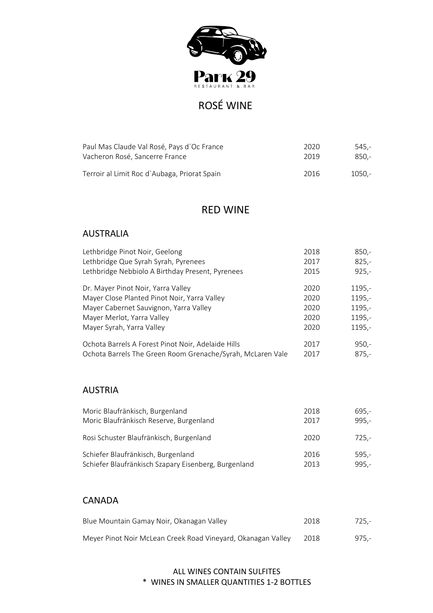

# ROSÉ WINE

| Paul Mas Claude Val Rosé, Pays d'Oc France   | 2020 | -545.  |
|----------------------------------------------|------|--------|
| Vacheron Rosé, Sancerre France               | 2019 | 850.-  |
| Terroir al Limit Roc d'Aubaga, Priorat Spain | 2016 | -.1050 |

# RED WINE

# AUSTRALIA

| Lethbridge Pinot Noir, Geelong                             | 2018 | $850,-$ |
|------------------------------------------------------------|------|---------|
| Lethbridge Que Syrah Syrah, Pyrenees                       | 2017 | $825 -$ |
| Lethbridge Nebbiolo A Birthday Present, Pyrenees           | 2015 | $925 -$ |
| Dr. Mayer Pinot Noir, Yarra Valley                         | 2020 | 1195,-  |
| Mayer Close Planted Pinot Noir, Yarra Valley               | 2020 | 1195,-  |
| Mayer Cabernet Sauvignon, Yarra Valley                     | 2020 | 1195,-  |
| Mayer Merlot, Yarra Valley                                 | 2020 | 1195,-  |
| Mayer Syrah, Yarra Valley                                  | 2020 | 1195,-  |
| Ochota Barrels A Forest Pinot Noir, Adelaide Hills         | 2017 | $950 -$ |
| Ochota Barrels The Green Room Grenache/Syrah, McLaren Vale | 2017 | $875,-$ |

# AUSTRIA

| Moric Blaufränkisch, Burgenland                      | 2018 | 695,-   |
|------------------------------------------------------|------|---------|
| Moric Blaufränkisch Reserve, Burgenland              | 2017 | $995 -$ |
| Rosi Schuster Blaufränkisch, Burgenland              | 2020 | $725,-$ |
| Schiefer Blaufränkisch, Burgenland                   | 2016 | $595,-$ |
| Schiefer Blaufränkisch Szapary Eisenberg, Burgenland | 2013 | $995 -$ |

# CANADA

| Blue Mountain Gamay Noir, Okanagan Valley                    | 2018  | 725.- |
|--------------------------------------------------------------|-------|-------|
| Meyer Pinot Noir McLean Creek Road Vineyard, Okanagan Valley | -2018 | 975.- |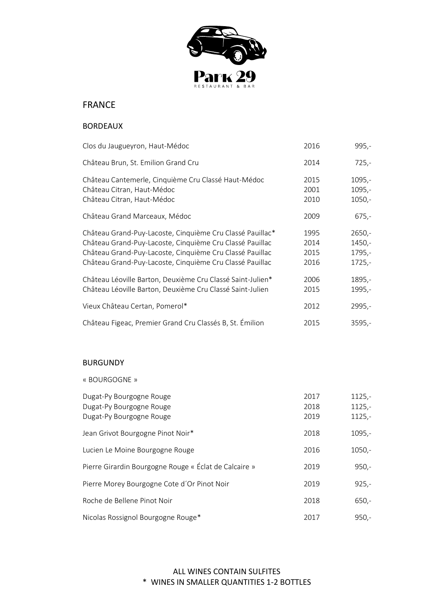

# FRANCE

#### BORDEAUX

| Clos du Jaugueyron, Haut-Médoc                                                                                                                                                                                                                | 2016                         | 995,-                                    |
|-----------------------------------------------------------------------------------------------------------------------------------------------------------------------------------------------------------------------------------------------|------------------------------|------------------------------------------|
| Château Brun, St. Emilion Grand Cru                                                                                                                                                                                                           | 2014                         | $725,-$                                  |
| Château Cantemerle, Cinquième Cru Classé Haut-Médoc<br>Château Citran, Haut-Médoc<br>Château Citran, Haut-Médoc                                                                                                                               | 2015<br>2001<br>2010         | $1095,-$<br>$1095,-$<br>$1050,-$         |
| Château Grand Marceaux, Médoc                                                                                                                                                                                                                 | 2009                         | $675,-$                                  |
| Château Grand-Puy-Lacoste, Cinquième Cru Classé Pauillac*<br>Château Grand-Puy-Lacoste, Cinquième Cru Classé Pauillac<br>Château Grand-Puy-Lacoste, Cinquième Cru Classé Pauillac<br>Château Grand-Puy-Lacoste, Cinquième Cru Classé Pauillac | 1995<br>2014<br>2015<br>2016 | $2650,-$<br>1450,-<br>1795,-<br>$1725,-$ |
| Château Léoville Barton, Deuxième Cru Classé Saint-Julien*<br>Château Léoville Barton, Deuxième Cru Classé Saint-Julien                                                                                                                       | 2006<br>2015                 | 1895,-<br>1995,-                         |
| Vieux Château Certan, Pomerol*                                                                                                                                                                                                                | 2012                         | 2995,-                                   |
| Château Figeac, Premier Grand Cru Classés B, St. Émilion                                                                                                                                                                                      | 2015                         | $3595,-$                                 |

#### BURGUNDY

« BOURGOGNE »

| Dugat-Py Bourgogne Rouge<br>Dugat-Py Bourgogne Rouge<br>Dugat-Py Bourgogne Rouge | 2017<br>2018<br>2019 | $1125,-$<br>$1125,-$<br>$1125,-$ |
|----------------------------------------------------------------------------------|----------------------|----------------------------------|
| Jean Grivot Bourgogne Pinot Noir*                                                | 2018                 | $1095,-$                         |
| Lucien Le Moine Bourgogne Rouge                                                  | 2016                 | $1050,-$                         |
| Pierre Girardin Bourgogne Rouge « Éclat de Calcaire »                            | 2019                 | $950 -$                          |
| Pierre Morey Bourgogne Cote d'Or Pinot Noir                                      | 2019                 | $925 -$                          |
| Roche de Bellene Pinot Noir                                                      | 2018                 | $650 -$                          |
| Nicolas Rossignol Bourgogne Rouge*                                               | 2017                 | $950 -$                          |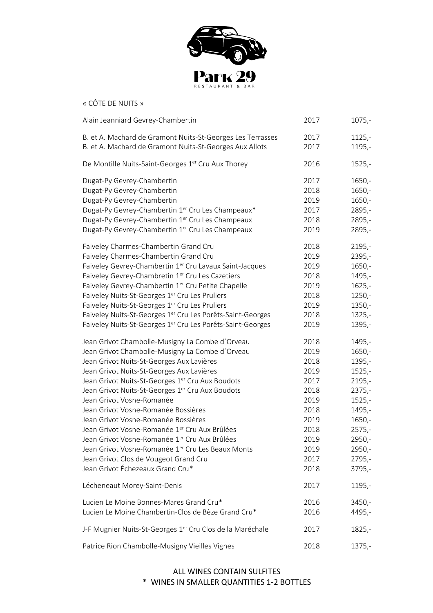

« CÔTE DE NUITS »

| Alain Jeanniard Gevrey-Chambertin                              | 2017 | $1075,-$ |
|----------------------------------------------------------------|------|----------|
| B. et A. Machard de Gramont Nuits-St-Georges Les Terrasses     | 2017 | $1125,-$ |
| B. et A. Machard de Gramont Nuits-St-Georges Aux Allots        | 2017 | $1195,-$ |
| De Montille Nuits-Saint-Georges 1 <sup>er</sup> Cru Aux Thorey | 2016 | $1525 -$ |
| Dugat-Py Gevrey-Chambertin                                     | 2017 | $1650,-$ |
| Dugat-Py Gevrey-Chambertin                                     | 2018 | $1650,-$ |
| Dugat-Py Gevrey-Chambertin                                     | 2019 | $1650,-$ |
| Dugat-Py Gevrey-Chambertin 1er Cru Les Champeaux*              | 2017 | 2895,-   |
| Dugat-Py Gevrey-Chambertin 1 <sup>er</sup> Cru Les Champeaux   | 2018 | 2895,-   |
| Dugat-Py Gevrey-Chambertin 1er Cru Les Champeaux               | 2019 | 2895,-   |
| Faiveley Charmes-Chambertin Grand Cru                          | 2018 | $2195,-$ |
| Faiveley Charmes-Chambertin Grand Cru                          | 2019 | $2395,-$ |
| Faiveley Gevrey-Chambertin 1er Cru Lavaux Saint-Jacques        | 2019 | $1650,-$ |
| Faiveley Gevrey-Chambretin 1er Cru Les Cazetiers               | 2018 | 1495,-   |
| Faiveley Gevrey-Chambertin 1 <sup>er</sup> Cru Petite Chapelle | 2019 | $1625 -$ |
| Faiveley Nuits-St-Georges 1er Cru Les Pruliers                 | 2018 | $1250,-$ |
| Faiveley Nuits-St-Georges 1er Cru Les Pruliers                 | 2019 | $1350 -$ |
| Faiveley Nuits-St-Georges 1er Cru Les Porêts-Saint-Georges     | 2018 | $1325,-$ |
| Faiveley Nuits-St-Georges 1er Cru Les Porêts-Saint-Georges     | 2019 | $1395,-$ |
| Jean Grivot Chambolle-Musigny La Combe d'Orveau                | 2018 | 1495,-   |
| Jean Grivot Chambolle-Musigny La Combe d'Orveau                | 2019 | $1650,-$ |
| Jean Grivot Nuits-St-Georges Aux Lavières                      | 2018 | $1395,-$ |
| Jean Grivot Nuits-St-Georges Aux Lavières                      | 2019 | $1525,-$ |
| Jean Grivot Nuits-St-Georges 1er Cru Aux Boudots               | 2017 | $2195,-$ |
| Jean Grivot Nuits-St-Georges 1er Cru Aux Boudots               | 2018 | $2375,-$ |
| Jean Grivot Vosne-Romanée                                      | 2019 | $1525,-$ |
| Jean Grivot Vosne-Romanée Bossières                            | 2018 | 1495,-   |
| Jean Grivot Vosne-Romanée Bossières                            | 2019 | $1650,-$ |
| Jean Grivot Vosne-Romanée 1 <sup>er</sup> Cru Aux Brûlées      | 2018 | $2575,-$ |
| Jean Grivot Vosne-Romanée 1 <sup>er</sup> Cru Aux Brûlées      | 2019 | 2950,-   |
| Jean Grivot Vosne-Romanée 1 <sup>er</sup> Cru Les Beaux Monts  | 2019 | 2950,-   |
| Jean Grivot Clos de Vougeot Grand Cru                          | 2017 | $2795,-$ |
| Jean Grivot Échezeaux Grand Cru*                               | 2018 | $3795,-$ |
| Lécheneaut Morey-Saint-Denis                                   | 2017 | $1195,-$ |
| Lucien Le Moine Bonnes-Mares Grand Cru*                        | 2016 | $3450,-$ |
| Lucien Le Moine Chambertin-Clos de Bèze Grand Cru*             | 2016 | 4495,-   |
| J-F Mugnier Nuits-St-Georges 1er Cru Clos de la Maréchale      | 2017 | $1825,-$ |
| Patrice Rion Chambolle-Musigny Vieilles Vignes                 | 2018 | $1375,-$ |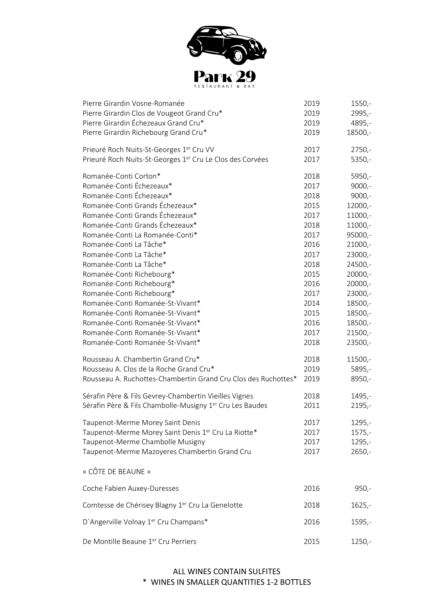

| Pierre Girardin Vosne-Romanée                                         | 2019 | $1550,-$  |
|-----------------------------------------------------------------------|------|-----------|
| Pierre Girardin Clos de Vougeot Grand Cru*                            | 2019 | 2995,-    |
| Pierre Girardin Échezeaux Grand Cru*                                  | 2019 | 4895,-    |
| Pierre Girardin Richebourg Grand Cru*                                 | 2019 | 18500,-   |
| Prieuré Roch Nuits-St-Georges 1 <sup>er</sup> Cru VV                  | 2017 | $2750,-$  |
| Prieuré Roch Nuits-St-Georges 1 <sup>er</sup> Cru Le Clos des Corvées | 2017 | $5350,-$  |
| Romanée-Conti Corton*                                                 | 2018 | 5950,-    |
| Romanée-Conti Échezeaux*                                              | 2017 | $9000,-$  |
| Romanée-Conti Échezeaux*                                              | 2018 | $9000,-$  |
| Romanée-Conti Grands Échezeaux*                                       | 2015 | 12000,-   |
| Romanée-Conti Grands Échezeaux*                                       | 2017 | 11000,-   |
| Romanée-Conti Grands Échezeaux*                                       | 2018 | 11000,-   |
| Romanée-Conti La Romanée-Conti*                                       | 2017 | 95000,-   |
| Romanée-Conti La Tâche*                                               | 2016 | 21000,-   |
| Romanée-Conti La Tâche*                                               | 2017 | 23000,-   |
| Romanée-Conti La Tâche*                                               | 2018 | 24500,-   |
| Romanée-Conti Richebourg*                                             | 2015 | 20000,-   |
| Romanée-Conti Richebourg*                                             | 2016 | 20000,-   |
| Romanée-Conti Richebourg*                                             | 2017 | 23000,-   |
| Romanée-Conti Romanée-St-Vivant*                                      | 2014 | 18500,-   |
| Romanée-Conti Romanée-St-Vivant*                                      | 2015 | 18500,-   |
| Romanée-Conti Romanée-St-Vivant*                                      | 2016 | 18500,-   |
| Romanée-Conti Romanée-St-Vivant*                                      | 2017 | $21500,-$ |
| Romanée-Conti Romanée-St-Vivant*                                      | 2018 | 23500,-   |
| Rousseau A. Chambertin Grand Cru*                                     | 2018 | 11500,-   |
| Rousseau A. Clos de la Roche Grand Cru*                               | 2019 | 5895,-    |
| Rousseau A. Ruchottes-Chambertin Grand Cru Clos des Ruchottes*        | 2019 | 8950,-    |
| Sérafin Père & Fils Gevrey-Chambertin Vieilles Vignes                 | 2018 | 1495,-    |
| Sérafin Père & Fils Chambolle-Musigny 1 <sup>er</sup> Cru Les Baudes  | 2011 | $2195,-$  |
| Taupenot-Merme Morey Saint Denis                                      | 2017 | 1295,-    |
| Taupenot-Merme Morey Saint Denis 1er Cru La Riotte*                   | 2017 | $1575,-$  |
| Taupenot-Merme Chambolle Musigny                                      | 2017 | $1295,-$  |
| Taupenot-Merme Mazoyeres Chambertin Grand Cru                         | 2017 | $2650,-$  |
| « CÔTE DE BEAUNE »                                                    |      |           |
| Coche Fabien Auxey-Duresses                                           | 2016 | $950,-$   |
| Comtesse de Chérisey Blagny 1 <sup>er</sup> Cru La Genelotte          | 2018 | $1625,-$  |
| D'Angerville Volnay 1er Cru Champans*                                 | 2016 | $1595,-$  |
| De Montille Beaune 1er Cru Perriers                                   | 2015 | $1250,-$  |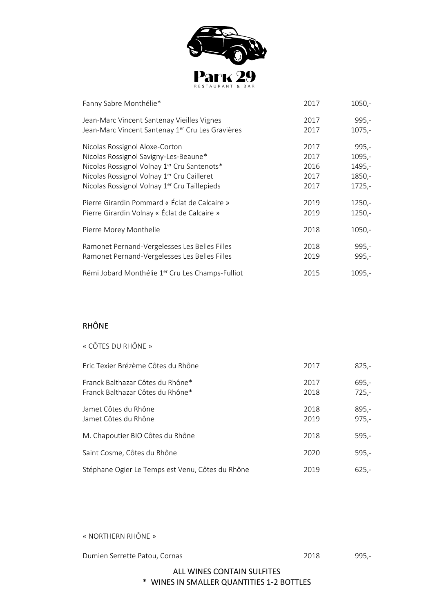

| Fanny Sabre Monthélie*                           | 2017 | $1050,-$ |
|--------------------------------------------------|------|----------|
| Jean-Marc Vincent Santenay Vieilles Vignes       | 2017 | $995,-$  |
| Jean-Marc Vincent Santenay 1er Cru Les Gravières | 2017 | $1075,-$ |
| Nicolas Rossignol Aloxe-Corton                   | 2017 | $995,-$  |
| Nicolas Rossignol Savigny-Les-Beaune*            | 2017 | $1095,-$ |
| Nicolas Rossignol Volnay 1er Cru Santenots*      | 2016 | 1495,-   |
| Nicolas Rossignol Volnay 1er Cru Cailleret       | 2017 | 1850,-   |
| Nicolas Rossignol Volnay 1er Cru Taillepieds     | 2017 | $1725,-$ |
| Pierre Girardin Pommard « Éclat de Calcaire »    | 2019 | $1250,-$ |
| Pierre Girardin Volnay « Éclat de Calcaire »     | 2019 | $1250,-$ |
| Pierre Morey Monthelie                           | 2018 | $1050,-$ |
| Ramonet Pernand-Vergelesses Les Belles Filles    | 2018 | $995,-$  |
| Ramonet Pernand-Vergelesses Les Belles Filles    | 2019 | $995,-$  |
| Rémi Jobard Monthélie 1er Cru Les Champs-Fulliot | 2015 | $1095,-$ |

#### RHÔNE

| « CÔTES DU RHÔNE »                                                   |              |                    |
|----------------------------------------------------------------------|--------------|--------------------|
| Fric Texier Brézème Côtes du Rhône                                   | 2017         | $825,-$            |
| Franck Balthazar Côtes du Rhône*<br>Franck Balthazar Côtes du Rhône* | 2017<br>2018 | 695,-<br>$725,-$   |
| Jamet Côtes du Rhône<br>Jamet Côtes du Rhône                         | 2018<br>2019 | $895,-$<br>$975,-$ |
| M. Chapoutier BIO Côtes du Rhône                                     | 2018         | $595,-$            |
| Saint Cosme, Côtes du Rhône                                          | 2020         | $595,-$            |
| Stéphane Ogier Le Temps est Venu, Côtes du Rhône                     | 2019         | $625,-$            |

« NORTHERN RHÔNE »

Dumien Serrette Patou, Cornas 2018 2018 995,-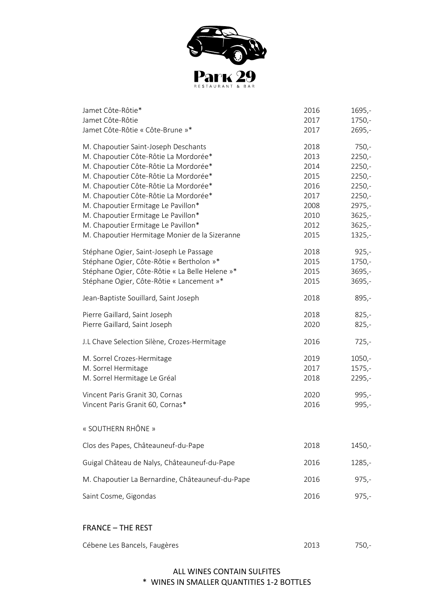

| Jamet Côte-Rôtie*                                | 2016 | $1695,-$ |
|--------------------------------------------------|------|----------|
| Jamet Côte-Rôtie                                 | 2017 | $1750,-$ |
| Jamet Côte-Rôtie « Côte-Brune »*                 | 2017 | $2695,-$ |
| M. Chapoutier Saint-Joseph Deschants             | 2018 | $750,-$  |
| M. Chapoutier Côte-Rôtie La Mordorée*            | 2013 | $2250,-$ |
| M. Chapoutier Côte-Rôtie La Mordorée*            | 2014 | $2250,-$ |
| M. Chapoutier Côte-Rôtie La Mordorée*            | 2015 | $2250 -$ |
| M. Chapoutier Côte-Rôtie La Mordorée*            | 2016 | $2250 -$ |
| M. Chapoutier Côte-Rôtie La Mordorée*            | 2017 | $2250 -$ |
| M. Chapoutier Ermitage Le Pavillon*              | 2008 | $2975,-$ |
| M. Chapoutier Ermitage Le Pavillon*              | 2010 | $3625 -$ |
| M. Chapoutier Ermitage Le Pavillon*              | 2012 | $3625 -$ |
| M. Chapoutier Hermitage Monier de la Sizeranne   | 2015 | $1325 -$ |
| Stéphane Ogier, Saint-Joseph Le Passage          | 2018 | $925,-$  |
| Stéphane Ogier, Côte-Rôtie « Bertholon »*        | 2015 | $1750,-$ |
| Stéphane Ogier, Côte-Rôtie « La Belle Helene »*  | 2015 | $3695,-$ |
| Stéphane Ogier, Côte-Rôtie « Lancement »*        | 2015 | $3695,-$ |
| Jean-Baptiste Souillard, Saint Joseph            | 2018 | 895,-    |
| Pierre Gaillard, Saint Joseph                    | 2018 | $825,-$  |
| Pierre Gaillard, Saint Joseph                    | 2020 | $825,-$  |
| J.L Chave Selection Silène, Crozes-Hermitage     | 2016 | $725,-$  |
| M. Sorrel Crozes-Hermitage                       | 2019 | $1050,-$ |
| M. Sorrel Hermitage                              | 2017 | $1575,-$ |
| M. Sorrel Hermitage Le Gréal                     | 2018 | $2295,-$ |
| Vincent Paris Granit 30, Cornas                  | 2020 | 995,-    |
| Vincent Paris Granit 60, Cornas*                 | 2016 | $995,-$  |
| « SOUTHERN RHÔNE »                               |      |          |
| Clos des Papes, Châteauneuf-du-Pape              | 2018 | 1450,-   |
| Guigal Château de Nalys, Châteauneuf-du-Pape     | 2016 | $1285,-$ |
| M. Chapoutier La Bernardine, Châteauneuf-du-Pape | 2016 | $975,-$  |
| Saint Cosme, Gigondas                            | 2016 | $975,-$  |
|                                                  |      |          |

#### FRANCE – THE REST

| Cébene Les Bancels, Faugères |  |  |
|------------------------------|--|--|
|------------------------------|--|--|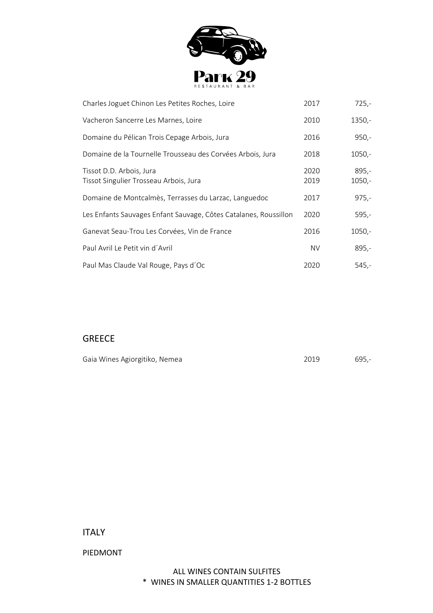

| Charles Joguet Chinon Les Petites Roches, Loire                    | 2017         | $725,-$             |
|--------------------------------------------------------------------|--------------|---------------------|
| Vacheron Sancerre Les Marnes, Loire                                | 2010         | $1350,-$            |
| Domaine du Pélican Trois Cepage Arbois, Jura                       | 2016         | $950,-$             |
| Domaine de la Tournelle Trousseau des Corvées Arbois, Jura         | 2018         | $1050,-$            |
| Tissot D.D. Arbois, Jura<br>Tissot Singulier Trosseau Arbois, Jura | 2020<br>2019 | $895,-$<br>$1050,-$ |
| Domaine de Montcalmès, Terrasses du Larzac, Languedoc              | 2017         | $975,-$             |
| Les Enfants Sauvages Enfant Sauvage, Côtes Catalanes, Roussillon   | 2020         | $595,-$             |
| Ganevat Seau-Trou Les Corvées, Vin de France                       | 2016         | $1050,-$            |
| Paul Avril Le Petit vin d'Avril                                    | <b>NV</b>    | $895,-$             |
| Paul Mas Claude Val Rouge, Pays d'Oc                               | 2020         | 545,-               |

# GREECE

| Gaia Wines Agiorgitiko, Nemea | 2019 | 695,- |
|-------------------------------|------|-------|
|                               |      |       |

ITALY

PIEDMONT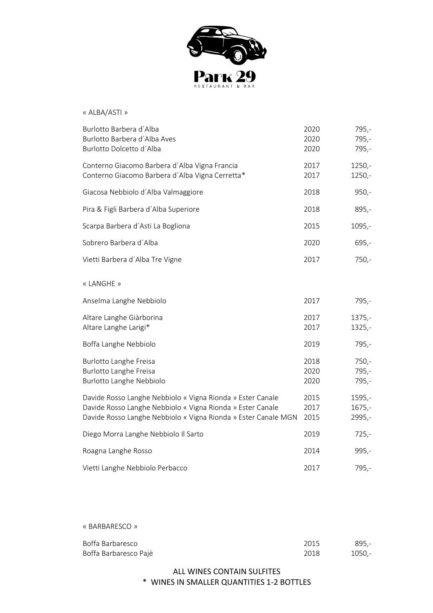

#### « ALBA/ASTI »

| Burlotto Barbera d'Alba<br>Burlotto Barbera d'Alba Aves<br>Burlotto Dolcetto d'Alba                                                                                                        | 2020<br>2020<br>2020 | $795,-$<br>795,-<br>$795,-$    |
|--------------------------------------------------------------------------------------------------------------------------------------------------------------------------------------------|----------------------|--------------------------------|
| Conterno Giacomo Barbera d'Alba Vigna Francia<br>Conterno Giacomo Barbera d'Alba Vigna Cerretta*                                                                                           | 2017<br>2017         | $1250,-$<br>$1250,-$           |
| Giacosa Nebbiolo d'Alba Valmaggiore                                                                                                                                                        | 2018                 | $950,-$                        |
| Pira & Figli Barbera d'Alba Superiore                                                                                                                                                      | 2018                 | $895,-$                        |
| Scarpa Barbera d'Asti La Bogliona                                                                                                                                                          | 2015                 | $1095,-$                       |
| Sobrero Barbera d'Alba                                                                                                                                                                     | 2020                 | $695,-$                        |
| Vietti Barbera d'Alba Tre Vigne                                                                                                                                                            | 2017                 | $750,-$                        |
| « LANGHE »                                                                                                                                                                                 |                      |                                |
| Anselma Langhe Nebbiolo                                                                                                                                                                    | 2017                 | $795,-$                        |
| Altare Langhe Giàrborina<br>Altare Langhe Larigi*                                                                                                                                          | 2017<br>2017         | $1375,-$<br>$1325,-$           |
| Boffa Langhe Nebbiolo                                                                                                                                                                      | 2019                 | 795,-                          |
| Burlotto Langhe Freisa<br><b>Burlotto Langhe Freisa</b><br>Burlotto Langhe Nebbiolo                                                                                                        | 2018<br>2020<br>2020 | $750,-$<br>795,-<br>$795,-$    |
| Davide Rosso Langhe Nebbiolo « Vigna Rionda » Ester Canale<br>Davide Rosso Langhe Nebbiolo « Vigna Rionda » Ester Canale<br>Davide Rosso Langhe Nebbiolo « Vigna Rionda » Ester Canale MGN | 2015<br>2017<br>2015 | $1595,-$<br>$1675,-$<br>2995,- |
| Diego Morra Langhe Nebbiolo Il Sarto                                                                                                                                                       | 2019                 | $725,-$                        |
| Roagna Langhe Rosso                                                                                                                                                                        | 2014                 | $995,-$                        |
| Vietti Langhe Nebbiolo Perbacco                                                                                                                                                            | 2017                 | 795,-                          |

« BARBARESCO »

| Boffa Barbaresco      | 2015 | 895.-  |
|-----------------------|------|--------|
| Boffa Barbaresco Pajè | 2018 | 1050.- |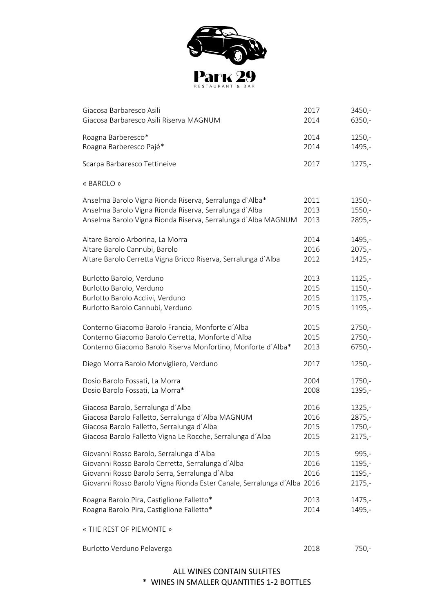

| Giacosa Barbaresco Asili                                                | 2017 | 3450,-   |
|-------------------------------------------------------------------------|------|----------|
| Giacosa Barbaresco Asili Riserva MAGNUM                                 | 2014 | 6350,-   |
| Roagna Barberesco*                                                      | 2014 | $1250,-$ |
| Roagna Barberesco Pajé*                                                 | 2014 | 1495,-   |
| Scarpa Barbaresco Tettineive                                            | 2017 | $1275,-$ |
| « BAROLO »                                                              |      |          |
| Anselma Barolo Vigna Rionda Riserva, Serralunga d'Alba*                 | 2011 | $1350,-$ |
| Anselma Barolo Vigna Rionda Riserva, Serralunga d'Alba                  | 2013 | $1550,-$ |
| Anselma Barolo Vigna Rionda Riserva, Serralunga d'Alba MAGNUM           | 2013 | 2895,-   |
| Altare Barolo Arborina, La Morra                                        | 2014 | 1495,-   |
| Altare Barolo Cannubi, Barolo                                           | 2016 | $2075,-$ |
| Altare Barolo Cerretta Vigna Bricco Riserva, Serralunga d'Alba          | 2012 | $1425,-$ |
| Burlotto Barolo, Verduno                                                | 2013 | $1125,-$ |
| Burlotto Barolo, Verduno                                                | 2015 | 1150,-   |
| Burlotto Barolo Acclivi, Verduno                                        | 2015 | $1175,-$ |
| Burlotto Barolo Cannubi, Verduno                                        | 2015 | 1195,-   |
| Conterno Giacomo Barolo Francia, Monforte d'Alba                        | 2015 | $2750,-$ |
| Conterno Giacomo Barolo Cerretta, Monforte d'Alba                       | 2015 | $2750,-$ |
| Conterno Giacomo Barolo Riserva Monfortino, Monforte d'Alba*            | 2013 | 6750,-   |
| Diego Morra Barolo Monvigliero, Verduno                                 | 2017 | $1250,-$ |
| Dosio Barolo Fossati, La Morra                                          | 2004 | 1750,-   |
| Dosio Barolo Fossati, La Morra*                                         | 2008 | 1395,-   |
| Giacosa Barolo, Serralunga d'Alba                                       | 2016 | $1325,-$ |
| Giacosa Barolo Falletto, Serralunga d'Alba MAGNUM                       | 2016 | 2875,-   |
| Giacosa Barolo Falletto, Serralunga d'Alba                              | 2015 | 1750,-   |
| Giacosa Barolo Falletto Vigna Le Rocche, Serralunga d'Alba              | 2015 | $2175,-$ |
| Giovanni Rosso Barolo, Serralunga d'Alba                                | 2015 | $995,-$  |
| Giovanni Rosso Barolo Cerretta, Serralunga d'Alba                       | 2016 | 1195,-   |
| Giovanni Rosso Barolo Serra, Serralunga d'Alba                          | 2016 | 1195,-   |
| Giovanni Rosso Barolo Vigna Rionda Ester Canale, Serralunga d'Alba 2016 |      | $2175,-$ |
| Roagna Barolo Pira, Castiglione Falletto*                               | 2013 | $1475,-$ |
| Roagna Barolo Pira, Castiglione Falletto*                               | 2014 | 1495,-   |
| « THE REST OF PIEMONTE »                                                |      |          |
| Burlotto Verduno Pelaverga                                              | 2018 | $750,-$  |
|                                                                         |      |          |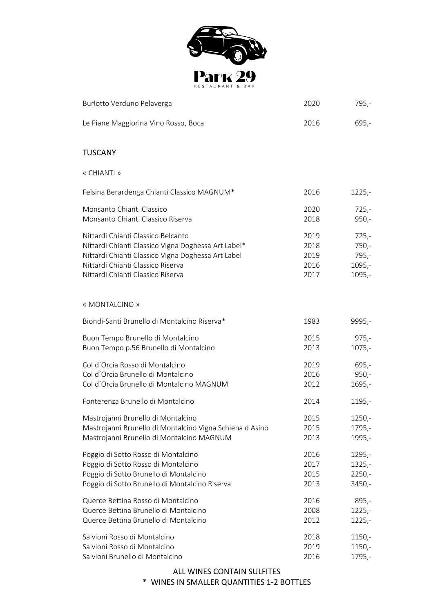

| Burlotto Verduno Pelaverga                               | 2020 | $795,-$  |
|----------------------------------------------------------|------|----------|
| Le Piane Maggiorina Vino Rosso, Boca                     | 2016 | $695,-$  |
| <b>TUSCANY</b>                                           |      |          |
| « CHIANTI »                                              |      |          |
| Felsina Berardenga Chianti Classico MAGNUM*              | 2016 | $1225,-$ |
| Monsanto Chianti Classico                                | 2020 | $725,-$  |
| Monsanto Chianti Classico Riserva                        | 2018 | $950,-$  |
| Nittardi Chianti Classico Belcanto                       | 2019 | $725,-$  |
| Nittardi Chianti Classico Vigna Doghessa Art Label*      | 2018 | $750,-$  |
| Nittardi Chianti Classico Vigna Doghessa Art Label       | 2019 | $795,-$  |
| Nittardi Chianti Classico Riserva                        | 2016 | 1095,-   |
| Nittardi Chianti Classico Riserva                        | 2017 | $1095,-$ |
| « MONTALCINO »                                           |      |          |
| Biondi-Santi Brunello di Montalcino Riserva*             | 1983 | 9995,-   |
| Buon Tempo Brunello di Montalcino                        | 2015 | $975,-$  |
| Buon Tempo p.56 Brunello di Montalcino                   | 2013 | $1075,-$ |
| Col d'Orcia Rosso di Montalcino                          | 2019 | $695,-$  |
| Col d'Orcia Brunello di Montalcino                       | 2016 | $950,-$  |
| Col d'Orcia Brunello di Montalcino MAGNUM                | 2012 | 1695,-   |
| Fonterenza Brunello di Montalcino                        | 2014 | 1195,-   |
| Mastrojanni Brunello di Montalcino                       | 2015 | $1250,-$ |
| Mastrojanni Brunello di Montalcino Vigna Schiena d Asino | 2015 | 1795,-   |
| Mastrojanni Brunello di Montalcino MAGNUM                | 2013 | 1995,-   |
| Poggio di Sotto Rosso di Montalcino                      | 2016 | 1295,-   |
| Poggio di Sotto Rosso di Montalcino                      | 2017 | $1325 -$ |
| Poggio di Sotto Brunello di Montalcino                   | 2015 | $2250,-$ |
| Poggio di Sotto Brunello di Montalcino Riserva           | 2013 | 3450,-   |
| Querce Bettina Rosso di Montalcino                       | 2016 | $895,-$  |
| Querce Bettina Brunello di Montalcino                    | 2008 | $1225,-$ |
| Querce Bettina Brunello di Montalcino                    | 2012 | $1225,-$ |
| Salvioni Rosso di Montalcino                             | 2018 | $1150,-$ |
| Salvioni Rosso di Montalcino                             | 2019 | $1150,-$ |
| Salvioni Brunello di Montalcino                          | 2016 | 1795,-   |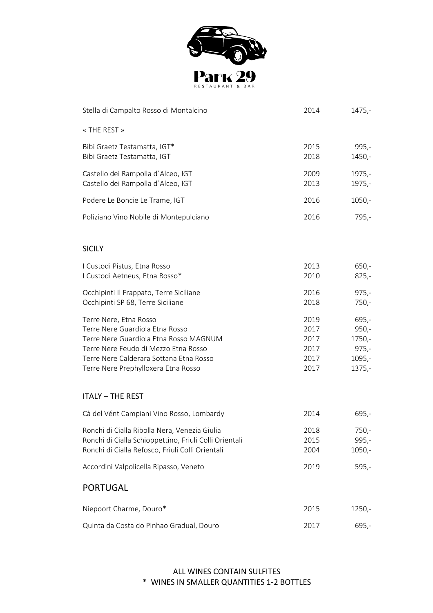

| Stella di Campalto Rosso di Montalcino                                                                                                                                                                                        | 2014                                         | $1475,-$                                                        |
|-------------------------------------------------------------------------------------------------------------------------------------------------------------------------------------------------------------------------------|----------------------------------------------|-----------------------------------------------------------------|
| « THE REST »                                                                                                                                                                                                                  |                                              |                                                                 |
| Bibi Graetz Testamatta, IGT*<br>Bibi Graetz Testamatta, IGT                                                                                                                                                                   | 2015<br>2018                                 | 995,-<br>1450,-                                                 |
| Castello dei Rampolla d'Alceo, IGT<br>Castello dei Rampolla d'Alceo, IGT                                                                                                                                                      | 2009<br>2013                                 | $1975,-$<br>1975,-                                              |
| Podere Le Boncie Le Trame, IGT                                                                                                                                                                                                | 2016                                         | $1050,-$                                                        |
| Poliziano Vino Nobile di Montepulciano                                                                                                                                                                                        | 2016                                         | 795,-                                                           |
| <b>SICILY</b>                                                                                                                                                                                                                 |                                              |                                                                 |
| I Custodi Pistus, Etna Rosso<br>I Custodi Aetneus, Etna Rosso*                                                                                                                                                                | 2013<br>2010                                 | 650,-<br>$825,-$                                                |
| Occhipinti Il Frappato, Terre Siciliane<br>Occhipinti SP 68, Terre Siciliane                                                                                                                                                  | 2016<br>2018                                 | $975,-$<br>$750,-$                                              |
| Terre Nere, Etna Rosso<br>Terre Nere Guardiola Etna Rosso<br>Terre Nere Guardiola Etna Rosso MAGNUM<br>Terre Nere Feudo di Mezzo Etna Rosso<br>Terre Nere Calderara Sottana Etna Rosso<br>Terre Nere Prephylloxera Etna Rosso | 2019<br>2017<br>2017<br>2017<br>2017<br>2017 | $695,-$<br>950,-<br>$1750,-$<br>$975,-$<br>$1095,-$<br>$1375,-$ |
| <b>ITALY - THE REST</b>                                                                                                                                                                                                       |                                              |                                                                 |
| Cà del Vént Campiani Vino Rosso, Lombardy                                                                                                                                                                                     | 2014                                         | $695,-$                                                         |
| Ronchi di Cialla Ribolla Nera, Venezia Giulia<br>Ronchi di Cialla Schioppettino, Friuli Colli Orientali<br>Ronchi di Cialla Refosco, Friuli Colli Orientali                                                                   | 2018<br>2015<br>2004                         | 750,-<br>$995,-$<br>$1050,-$                                    |
| Accordini Valpolicella Ripasso, Veneto                                                                                                                                                                                        | 2019                                         | $595,-$                                                         |
| <b>PORTUGAL</b>                                                                                                                                                                                                               |                                              |                                                                 |
| Niepoort Charme, Douro*                                                                                                                                                                                                       | 2015                                         | $1250,-$                                                        |
| Quinta da Costa do Pinhao Gradual, Douro                                                                                                                                                                                      | 2017                                         | $695,-$                                                         |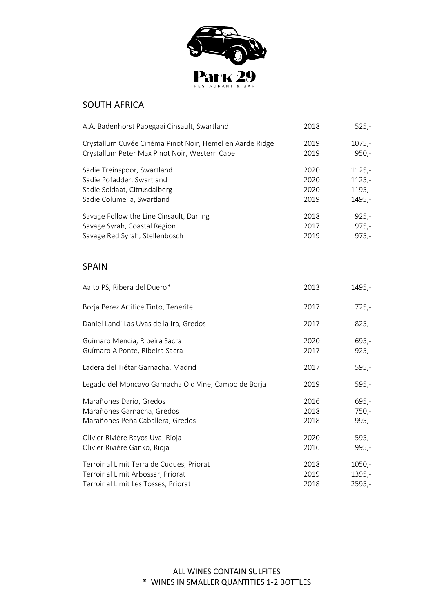

### SOUTH AFRICA

| A.A. Badenhorst Papegaai Cinsault, Swartland                                                                           | 2018                         | $525 -$                                    |
|------------------------------------------------------------------------------------------------------------------------|------------------------------|--------------------------------------------|
| Crystallum Cuvée Cinéma Pinot Noir, Hemel en Aarde Ridge<br>Crystallum Peter Max Pinot Noir, Western Cape              | 2019<br>2019                 | $1075,-$<br>$950,-$                        |
| Sadie Treinspoor, Swartland<br>Sadie Pofadder, Swartland<br>Sadie Soldaat, Citrusdalberg<br>Sadie Columella, Swartland | 2020<br>2020<br>2020<br>2019 | $1125 -$<br>$1125,-$<br>$1195,-$<br>1495,- |
| Savage Follow the Line Cinsault, Darling<br>Savage Syrah, Coastal Region<br>Savage Red Syrah, Stellenbosch             | 2018<br>2017<br>2019         | $925,-$<br>$975,-$<br>$975,-$              |
| <b>SPAIN</b>                                                                                                           |                              |                                            |
| Aalto PS, Ribera del Duero*                                                                                            | 2013                         | 1495,-                                     |
| Borja Perez Artifice Tinto, Tenerife                                                                                   | 2017                         | $725,-$                                    |
| Daniel Landi Las Uvas de la Ira, Gredos                                                                                | 2017                         | $825,-$                                    |
| Guímaro Mencía, Ribeira Sacra<br>Guímaro A Ponte, Ribeira Sacra                                                        | 2020<br>2017                 | $695,-$<br>$925,-$                         |
| Ladera del Tiétar Garnacha, Madrid                                                                                     | 2017                         | $595,-$                                    |
| Legado del Moncayo Garnacha Old Vine, Campo de Borja                                                                   | 2019                         | $595,-$                                    |
| Marañones Dario, Gredos<br>Marañones Garnacha, Gredos<br>Marañones Peña Caballera, Gredos                              | 2016<br>2018<br>2018         | $695,-$<br>$750,-$<br>$995,-$              |
| Olivier Rivière Rayos Uva, Rioja<br>Olivier Rivière Ganko, Rioja                                                       | 2020<br>2016                 | $595,-$<br>$995,-$                         |
|                                                                                                                        |                              |                                            |

Terroir al Limit Terra de Cuques, Priorat 1050,-Terroir al Limit Arbossar, Priorat 1395,-Terroir al Limit Les Tosses, Priorat 2018 2018 2595,-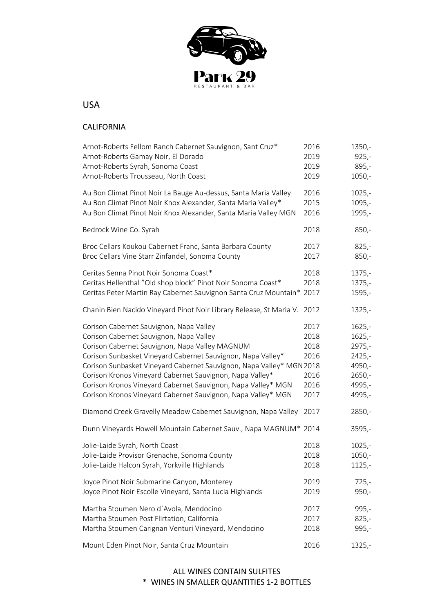

# USA

# CALIFORNIA

| Arnot-Roberts Fellom Ranch Cabernet Sauvignon, Sant Cruz*<br>Arnot-Roberts Gamay Noir, El Dorado<br>Arnot-Roberts Syrah, Sonoma Coast<br>Arnot-Roberts Trousseau, North Coast                                                                                                                                                                                                                                                                                           | 2016<br>2019<br>2019<br>2019                         | $1350,-$<br>$925,-$<br>$895,-$<br>$1050,-$                                           |
|-------------------------------------------------------------------------------------------------------------------------------------------------------------------------------------------------------------------------------------------------------------------------------------------------------------------------------------------------------------------------------------------------------------------------------------------------------------------------|------------------------------------------------------|--------------------------------------------------------------------------------------|
| Au Bon Climat Pinot Noir La Bauge Au-dessus, Santa Maria Valley<br>Au Bon Climat Pinot Noir Knox Alexander, Santa Maria Valley*<br>Au Bon Climat Pinot Noir Knox Alexander, Santa Maria Valley MGN                                                                                                                                                                                                                                                                      | 2016<br>2015<br>2016                                 | $1025,-$<br>$1095,-$<br>1995,-                                                       |
| Bedrock Wine Co. Syrah                                                                                                                                                                                                                                                                                                                                                                                                                                                  | 2018                                                 | $850,-$                                                                              |
| Broc Cellars Koukou Cabernet Franc, Santa Barbara County<br>Broc Cellars Vine Starr Zinfandel, Sonoma County                                                                                                                                                                                                                                                                                                                                                            | 2017<br>2017                                         | $825,-$<br>$850,-$                                                                   |
| Ceritas Senna Pinot Noir Sonoma Coast*<br>Ceritas Hellenthal "Old shop block" Pinot Noir Sonoma Coast*<br>Ceritas Peter Martin Ray Cabernet Sauvignon Santa Cruz Mountain* 2017                                                                                                                                                                                                                                                                                         | 2018<br>2018                                         | $1375,-$<br>$1375,-$<br>1595,-                                                       |
| Chanin Bien Nacido Vineyard Pinot Noir Library Release, St Maria V.                                                                                                                                                                                                                                                                                                                                                                                                     | 2012                                                 | $1325,-$                                                                             |
| Corison Cabernet Sauvignon, Napa Valley<br>Corison Cabernet Sauvignon, Napa Valley<br>Corison Cabernet Sauvignon, Napa Valley MAGNUM<br>Corison Sunbasket Vineyard Cabernet Sauvignon, Napa Valley*<br>Corison Sunbasket Vineyard Cabernet Sauvignon, Napa Valley* MGN 2018<br>Corison Kronos Vineyard Cabernet Sauvignon, Napa Valley*<br>Corison Kronos Vineyard Cabernet Sauvignon, Napa Valley* MGN<br>Corison Kronos Vineyard Cabernet Sauvignon, Napa Valley* MGN | 2017<br>2018<br>2018<br>2016<br>2016<br>2016<br>2017 | $1625,-$<br>$1625,-$<br>2975,-<br>$2425,-$<br>4950,-<br>$2650,-$<br>4995,-<br>4995,- |
| Diamond Creek Gravelly Meadow Cabernet Sauvignon, Napa Valley                                                                                                                                                                                                                                                                                                                                                                                                           | 2017                                                 | 2850,-                                                                               |
| Dunn Vineyards Howell Mountain Cabernet Sauv., Napa MAGNUM* 2014                                                                                                                                                                                                                                                                                                                                                                                                        |                                                      | $3595,-$                                                                             |
| Jolie-Laide Syrah, North Coast<br>Jolie-Laide Provisor Grenache, Sonoma County<br>Jolie-Laide Halcon Syrah, Yorkville Highlands                                                                                                                                                                                                                                                                                                                                         | 2018<br>2018<br>2018                                 | $1025,-$<br>$1050,-$<br>$1125,-$                                                     |
| Joyce Pinot Noir Submarine Canyon, Monterey<br>Joyce Pinot Noir Escolle Vineyard, Santa Lucia Highlands                                                                                                                                                                                                                                                                                                                                                                 | 2019<br>2019                                         | $725,-$<br>$950,-$                                                                   |
| Martha Stoumen Nero d'Avola, Mendocino<br>Martha Stoumen Post Flirtation, California<br>Martha Stoumen Carignan Venturi Vineyard, Mendocino                                                                                                                                                                                                                                                                                                                             | 2017<br>2017<br>2018                                 | 995,-<br>$825,-$<br>995,-                                                            |
| Mount Eden Pinot Noir, Santa Cruz Mountain                                                                                                                                                                                                                                                                                                                                                                                                                              | 2016                                                 | $1325,-$                                                                             |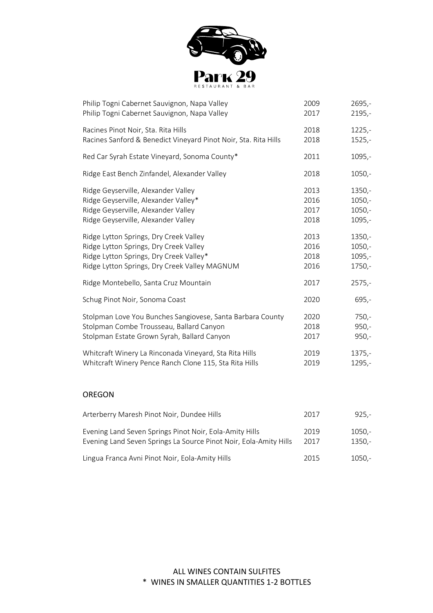

| Philip Togni Cabernet Sauvignon, Napa Valley                    | 2009 | $2695,-$ |
|-----------------------------------------------------------------|------|----------|
| Philip Togni Cabernet Sauvignon, Napa Valley                    | 2017 | $2195,-$ |
| Racines Pinot Noir, Sta. Rita Hills                             | 2018 | $1225,-$ |
| Racines Sanford & Benedict Vineyard Pinot Noir, Sta. Rita Hills | 2018 | $1525 -$ |
| Red Car Syrah Estate Vineyard, Sonoma County*                   | 2011 | 1095,-   |
| Ridge East Bench Zinfandel, Alexander Valley                    | 2018 | $1050,-$ |
| Ridge Geyserville, Alexander Valley                             | 2013 | $1350 -$ |
| Ridge Geyserville, Alexander Valley*                            | 2016 | $1050,-$ |
| Ridge Geyserville, Alexander Valley                             | 2017 | $1050,-$ |
| Ridge Geyserville, Alexander Valley                             | 2018 | $1095,-$ |
| Ridge Lytton Springs, Dry Creek Valley                          | 2013 | $1350,-$ |
| Ridge Lytton Springs, Dry Creek Valley                          | 2016 | $1050,-$ |
| Ridge Lytton Springs, Dry Creek Valley*                         | 2018 | 1095,-   |
| Ridge Lytton Springs, Dry Creek Valley MAGNUM                   | 2016 | 1750,-   |
| Ridge Montebello, Santa Cruz Mountain                           | 2017 | $2575,-$ |
| Schug Pinot Noir, Sonoma Coast                                  | 2020 | $695,-$  |
| Stolpman Love You Bunches Sangiovese, Santa Barbara County      | 2020 | $750 -$  |
| Stolpman Combe Trousseau, Ballard Canyon                        | 2018 | $950,-$  |
| Stolpman Estate Grown Syrah, Ballard Canyon                     | 2017 | $950,-$  |
| Whitcraft Winery La Rinconada Vineyard, Sta Rita Hills          | 2019 | $1375,-$ |
| Whitcraft Winery Pence Ranch Clone 115, Sta Rita Hills          | 2019 | 1295,-   |

### OREGON

| Arterberry Maresh Pinot Noir, Dundee Hills                                                                                   | 2017         | $925 -$              |  |
|------------------------------------------------------------------------------------------------------------------------------|--------------|----------------------|--|
| Evening Land Seven Springs Pinot Noir, Eola-Amity Hills<br>Evening Land Seven Springs La Source Pinot Noir, Eola-Amity Hills | 2019<br>2017 | $1050,-$<br>$1350,-$ |  |
| Lingua Franca Avni Pinot Noir, Eola-Amity Hills                                                                              | 2015         | $1050.-$             |  |